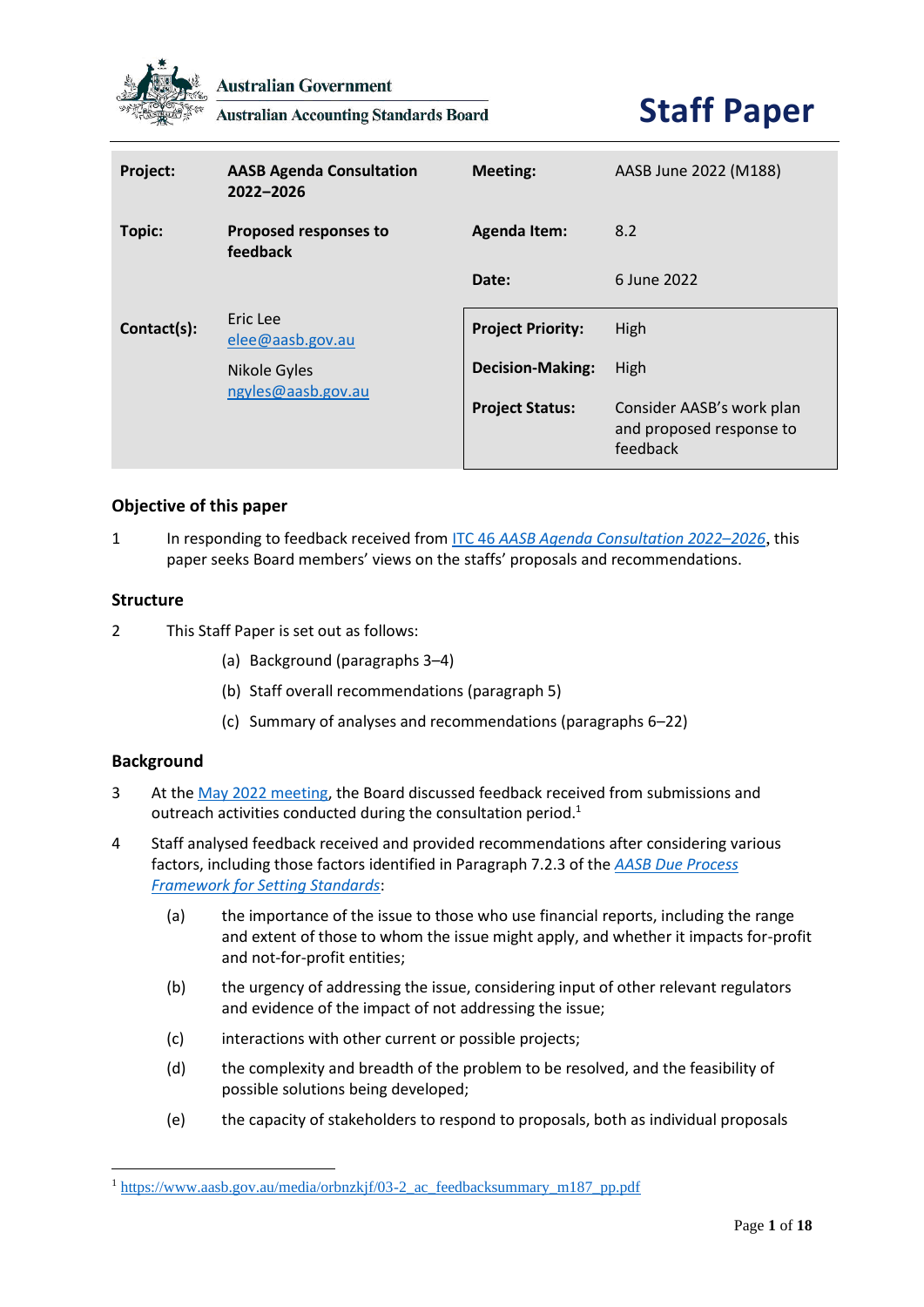

**Australian Government** 

**Australian Accounting Standards Board** 

# **Staff Paper**

| Project:    | <b>AASB Agenda Consultation</b><br>2022-2026 | <b>Meeting:</b>          | AASB June 2022 (M188)                                             |
|-------------|----------------------------------------------|--------------------------|-------------------------------------------------------------------|
| Topic:      | Proposed responses to<br>feedback            | <b>Agenda Item:</b>      | 8.2                                                               |
|             |                                              | Date:                    | 6 June 2022                                                       |
| Contact(s): | Eric Lee<br>elee@aasb.gov.au                 | <b>Project Priority:</b> | High                                                              |
|             | Nikole Gyles                                 | <b>Decision-Making:</b>  | High                                                              |
|             | ngyles@aasb.gov.au                           | <b>Project Status:</b>   | Consider AASB's work plan<br>and proposed response to<br>feedback |

#### **Objective of this paper**

1 In responding to feedback received from ITC 46 *[AASB Agenda Consultation 2022](https://aasb.gov.au/admin/file/content105/c9/ITC46_10-21.pdf)–2026*, this paper seeks Board members' views on the staffs' proposals and recommendations.

#### **Structure**

- 2 This Staff Paper is set out as follows:
	- (a) Background (paragraphs 3–4)
	- (b) Staff overall recommendations (paragraph 5)
	- (c) Summary of analyses and recommendations (paragraphs 6–22)

#### **Background**

- 3 At th[e May 2022 meeting,](https://www.aasb.gov.au/media/orbnzkjf/03-2_ac_feedbacksummary_m187_pp.pdf) the Board discussed feedback received from submissions and outreach activities conducted during the consultation period.<sup>1</sup>
- 4 Staff analysed feedback received and provided recommendations after considering various factors, including those factors identified in Paragraph 7.2.3 of the *AASB Due Process Framework for Setting Standards*:
	- (a) the importance of the issue to those who use financial reports, including the range and extent of those to whom the issue might apply, and whether it impacts for-profit and not-for-profit entities;
	- (b) the urgency of addressing the issue, considering input of other relevant regulators and evidence of the impact of not addressing the issue;
	- (c) interactions with other current or possible projects;
	- (d) the complexity and breadth of the problem to be resolved, and the feasibility of possible solutions being developed;
	- (e) the capacity of stakeholders to respond to proposals, both as individual proposals

<sup>1</sup> [https://www.aasb.gov.au/media/orbnzkjf/03-2\\_ac\\_feedbacksummary\\_m187\\_pp.pdf](https://www.aasb.gov.au/media/orbnzkjf/03-2_ac_feedbacksummary_m187_pp.pdf)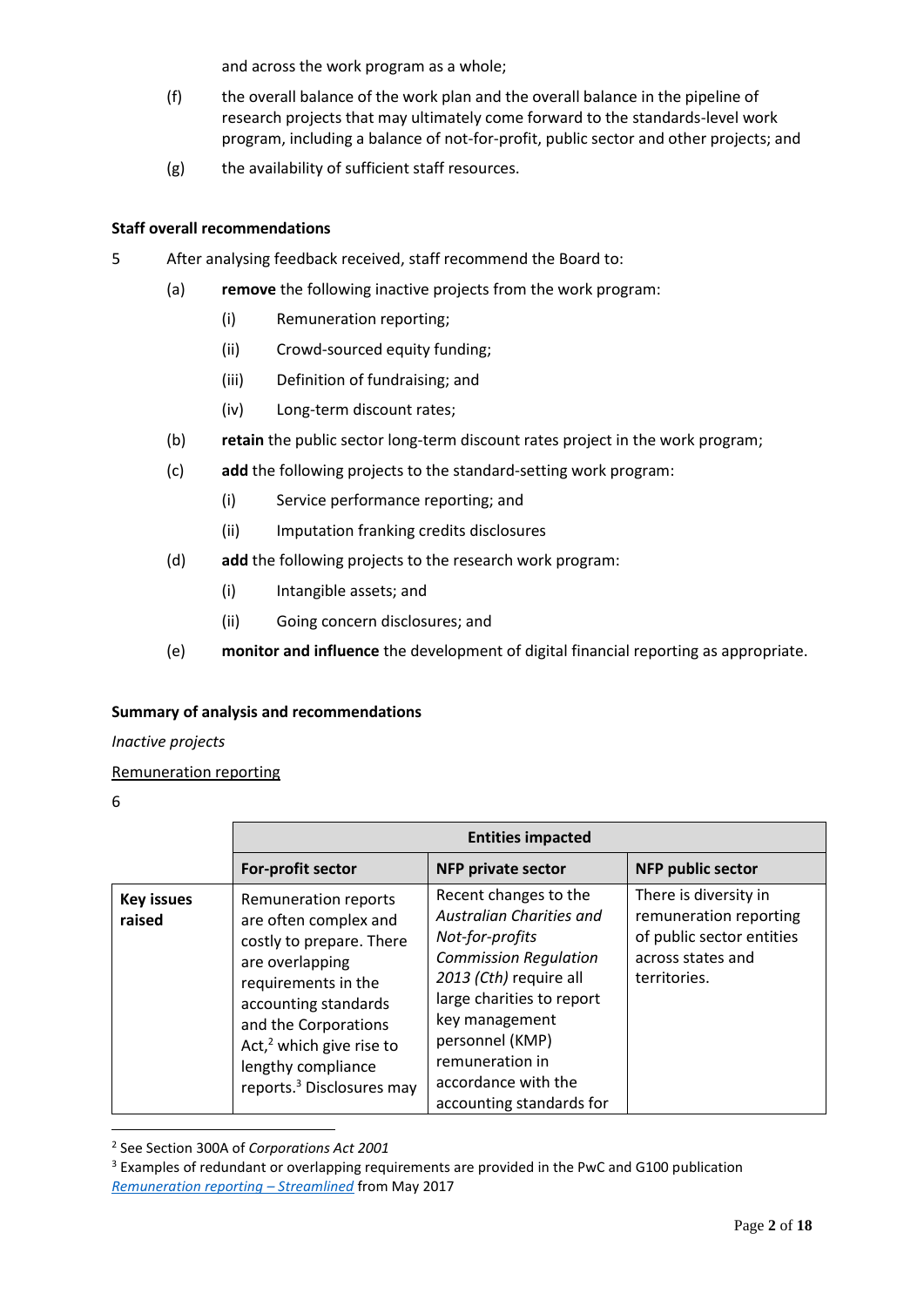and across the work program as a whole;

- (f) the overall balance of the work plan and the overall balance in the pipeline of research projects that may ultimately come forward to the standards-level work program, including a balance of not-for-profit, public sector and other projects; and
- (g) the availability of sufficient staff resources.

#### **Staff overall recommendations**

- 5 After analysing feedback received, staff recommend the Board to:
	- (a) **remove** the following inactive projects from the work program:
		- (i) Remuneration reporting;
		- (ii) Crowd-sourced equity funding;
		- (iii) Definition of fundraising; and
		- (iv) Long-term discount rates;
	- (b) **retain** the public sector long-term discount rates project in the work program;
	- (c) **add** the following projects to the standard-setting work program:
		- (i) Service performance reporting; and
		- (ii) Imputation franking credits disclosures
	- (d) **add** the following projects to the research work program:
		- (i) Intangible assets; and
		- (ii) Going concern disclosures; and
	- (e) **monitor and influence** the development of digital financial reporting as appropriate.

#### **Summary of analysis and recommendations**

#### *Inactive projects*

#### Remuneration reporting

|                             |                                                                                                                                                                                                                                                                   | <b>Entities impacted</b>                                                                                                                                                                                                                                               |                                                                                                                   |
|-----------------------------|-------------------------------------------------------------------------------------------------------------------------------------------------------------------------------------------------------------------------------------------------------------------|------------------------------------------------------------------------------------------------------------------------------------------------------------------------------------------------------------------------------------------------------------------------|-------------------------------------------------------------------------------------------------------------------|
|                             | For-profit sector                                                                                                                                                                                                                                                 | <b>NFP private sector</b>                                                                                                                                                                                                                                              | <b>NFP public sector</b>                                                                                          |
| <b>Key issues</b><br>raised | Remuneration reports<br>are often complex and<br>costly to prepare. There<br>are overlapping<br>requirements in the<br>accounting standards<br>and the Corporations<br>Act, $2$ which give rise to<br>lengthy compliance<br>reports. <sup>3</sup> Disclosures may | Recent changes to the<br>Australian Charities and<br>Not-for-profits<br><b>Commission Regulation</b><br>2013 (Cth) require all<br>large charities to report<br>key management<br>personnel (KMP)<br>remuneration in<br>accordance with the<br>accounting standards for | There is diversity in<br>remuneration reporting<br>of public sector entities<br>across states and<br>territories. |

<sup>2</sup> See Section 300A of *Corporations Act 2001*

<sup>&</sup>lt;sup>3</sup> Examples of redundant or overlapping requirements are provided in the PwC and G100 publication *[Remuneration reporting](https://group100.com.au/assets/uploads/2018/06/Remuneration-reporting-streamlined.pdf) – Streamlined* from May 2017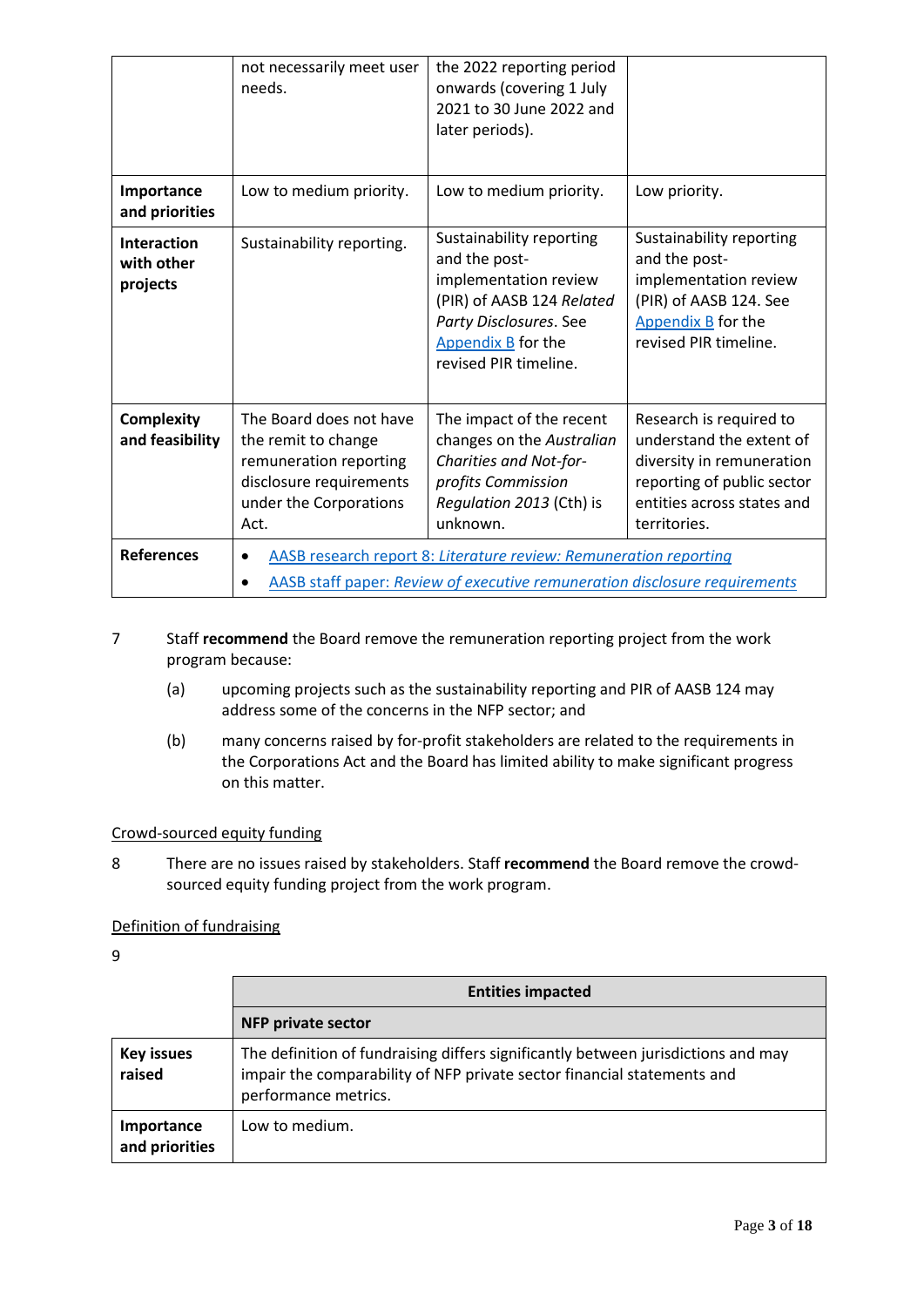|                                       | not necessarily meet user<br>needs.                                                                                                             | the 2022 reporting period<br>onwards (covering 1 July<br>2021 to 30 June 2022 and<br>later periods).                                                                     |                                                                                                                                                              |
|---------------------------------------|-------------------------------------------------------------------------------------------------------------------------------------------------|--------------------------------------------------------------------------------------------------------------------------------------------------------------------------|--------------------------------------------------------------------------------------------------------------------------------------------------------------|
| Importance<br>and priorities          | Low to medium priority.                                                                                                                         | Low to medium priority.                                                                                                                                                  | Low priority.                                                                                                                                                |
| Interaction<br>with other<br>projects | Sustainability reporting.                                                                                                                       | Sustainability reporting<br>and the post-<br>implementation review<br>(PIR) of AASB 124 Related<br>Party Disclosures. See<br>Appendix B for the<br>revised PIR timeline. | Sustainability reporting<br>and the post-<br>implementation review<br>(PIR) of AASB 124. See<br>Appendix B for the<br>revised PIR timeline.                  |
| <b>Complexity</b><br>and feasibility  | The Board does not have<br>the remit to change<br>remuneration reporting<br>disclosure requirements<br>under the Corporations<br>Act.           | The impact of the recent<br>changes on the Australian<br>Charities and Not-for-<br>profits Commission<br>Regulation 2013 (Cth) is<br>unknown.                            | Research is required to<br>understand the extent of<br>diversity in remuneration<br>reporting of public sector<br>entities across states and<br>territories. |
| <b>References</b>                     | AASB research report 8: Literature review: Remuneration reporting<br>AASB staff paper: Review of executive remuneration disclosure requirements |                                                                                                                                                                          |                                                                                                                                                              |

#### 7 Staff **recommend** the Board remove the remuneration reporting project from the work program because:

- (a) upcoming projects such as the sustainability reporting and PIR of AASB 124 may address some of the concerns in the NFP sector; and
- (b) many concerns raised by for-profit stakeholders are related to the requirements in the Corporations Act and the Board has limited ability to make significant progress on this matter.

#### Crowd-sourced equity funding

8 There are no issues raised by stakeholders. Staff **recommend** the Board remove the crowdsourced equity funding project from the work program.

#### Definition of fundraising

|                              | <b>Entities impacted</b>                                                                                                                                                             |  |
|------------------------------|--------------------------------------------------------------------------------------------------------------------------------------------------------------------------------------|--|
|                              | <b>NFP private sector</b>                                                                                                                                                            |  |
| <b>Key issues</b><br>raised  | The definition of fundraising differs significantly between jurisdictions and may<br>impair the comparability of NFP private sector financial statements and<br>performance metrics. |  |
| Importance<br>and priorities | Low to medium.                                                                                                                                                                       |  |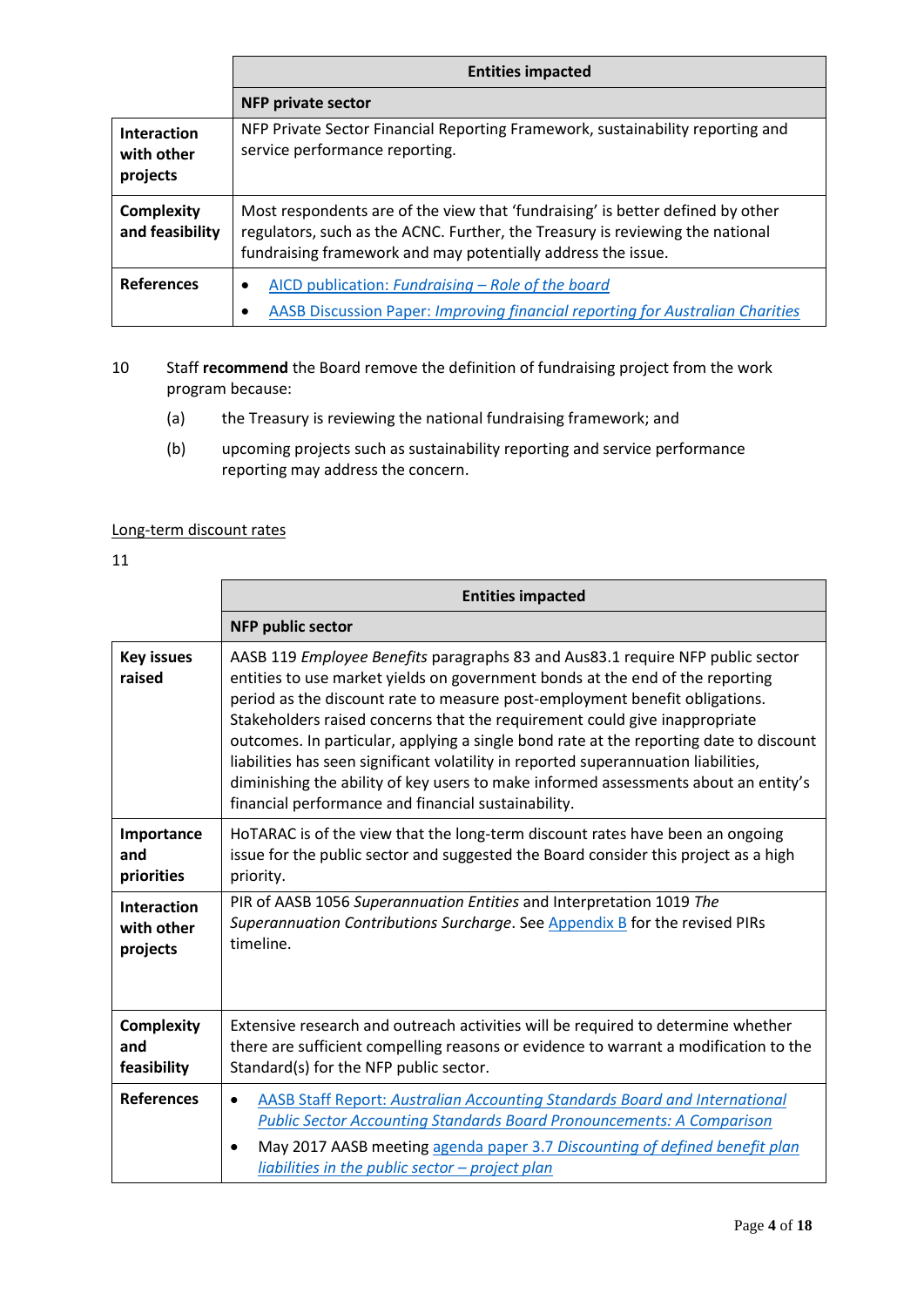|                                       | <b>Entities impacted</b>                                                                                                                                                                                                        |
|---------------------------------------|---------------------------------------------------------------------------------------------------------------------------------------------------------------------------------------------------------------------------------|
|                                       | <b>NFP private sector</b>                                                                                                                                                                                                       |
| Interaction<br>with other<br>projects | NFP Private Sector Financial Reporting Framework, sustainability reporting and<br>service performance reporting.                                                                                                                |
| Complexity<br>and feasibility         | Most respondents are of the view that 'fundraising' is better defined by other<br>regulators, such as the ACNC. Further, the Treasury is reviewing the national<br>fundraising framework and may potentially address the issue. |
| <b>References</b>                     | AICD publication: Fundraising – Role of the board<br>$\bullet$<br><b>AASB Discussion Paper: Improving financial reporting for Australian Charities</b>                                                                          |

- 10 Staff **recommend** the Board remove the definition of fundraising project from the work program because:
	- (a) the Treasury is reviewing the national fundraising framework; and
	- (b) upcoming projects such as sustainability reporting and service performance reporting may address the concern.

#### Long-term discount rates

|                                              | <b>Entities impacted</b>                                                                                                                                                                                                                                                                                                                                                                                                                                                                                                                                                                                                                                    |
|----------------------------------------------|-------------------------------------------------------------------------------------------------------------------------------------------------------------------------------------------------------------------------------------------------------------------------------------------------------------------------------------------------------------------------------------------------------------------------------------------------------------------------------------------------------------------------------------------------------------------------------------------------------------------------------------------------------------|
|                                              | <b>NFP public sector</b>                                                                                                                                                                                                                                                                                                                                                                                                                                                                                                                                                                                                                                    |
| <b>Key issues</b><br>raised                  | AASB 119 Employee Benefits paragraphs 83 and Aus83.1 require NFP public sector<br>entities to use market yields on government bonds at the end of the reporting<br>period as the discount rate to measure post-employment benefit obligations.<br>Stakeholders raised concerns that the requirement could give inappropriate<br>outcomes. In particular, applying a single bond rate at the reporting date to discount<br>liabilities has seen significant volatility in reported superannuation liabilities,<br>diminishing the ability of key users to make informed assessments about an entity's<br>financial performance and financial sustainability. |
| Importance<br>and<br>priorities              | HoTARAC is of the view that the long-term discount rates have been an ongoing<br>issue for the public sector and suggested the Board consider this project as a high<br>priority.                                                                                                                                                                                                                                                                                                                                                                                                                                                                           |
| <b>Interaction</b><br>with other<br>projects | PIR of AASB 1056 Superannuation Entities and Interpretation 1019 The<br>Superannuation Contributions Surcharge. See Appendix B for the revised PIRs<br>timeline.                                                                                                                                                                                                                                                                                                                                                                                                                                                                                            |
| <b>Complexity</b><br>and<br>feasibility      | Extensive research and outreach activities will be required to determine whether<br>there are sufficient compelling reasons or evidence to warrant a modification to the<br>Standard(s) for the NFP public sector.                                                                                                                                                                                                                                                                                                                                                                                                                                          |
| <b>References</b>                            | AASB Staff Report: Australian Accounting Standards Board and International<br>$\bullet$<br><b>Public Sector Accounting Standards Board Pronouncements: A Comparison</b><br>May 2017 AASB meeting agenda paper 3.7 Discounting of defined benefit plan<br>$\bullet$<br>liabilities in the public sector $-$ project plan                                                                                                                                                                                                                                                                                                                                     |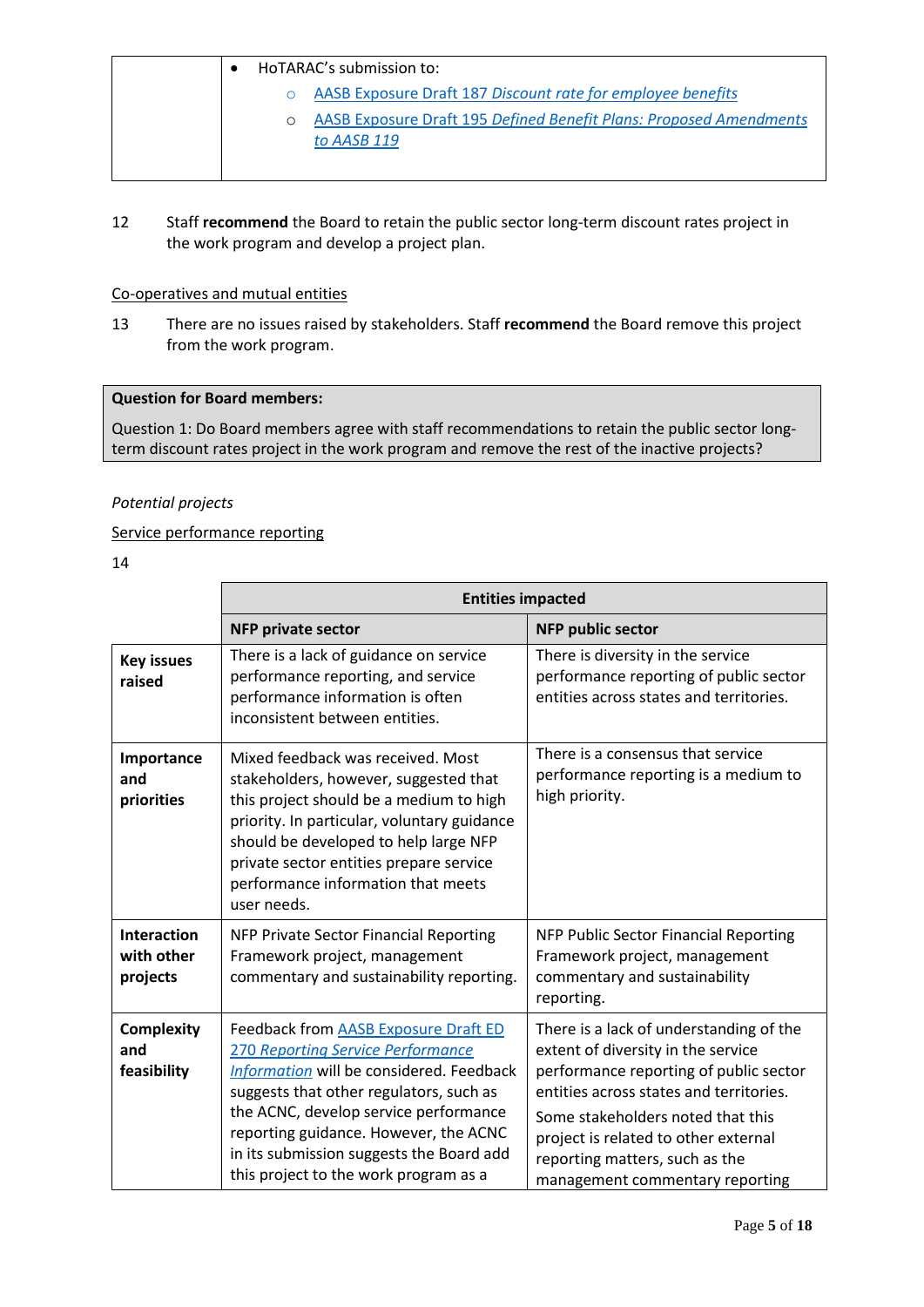|  | HoTARAC's submission to:                                           |
|--|--------------------------------------------------------------------|
|  | AASB Exposure Draft 187 Discount rate for employee benefits        |
|  | AASB Exposure Draft 195 Defined Benefit Plans: Proposed Amendments |
|  | to AASB 119                                                        |
|  |                                                                    |

12 Staff **recommend** the Board to retain the public sector long-term discount rates project in the work program and develop a project plan.

#### Co-operatives and mutual entities

13 There are no issues raised by stakeholders. Staff **recommend** the Board remove this project from the work program.

#### **Question for Board members:**

Question 1: Do Board members agree with staff recommendations to retain the public sector longterm discount rates project in the work program and remove the rest of the inactive projects?

#### *Potential projects*

#### Service performance reporting

|                                              | <b>Entities impacted</b>                                                                                                                                                                                                                                                                                                                       |                                                                                                                                                                                                                                                                                                                      |
|----------------------------------------------|------------------------------------------------------------------------------------------------------------------------------------------------------------------------------------------------------------------------------------------------------------------------------------------------------------------------------------------------|----------------------------------------------------------------------------------------------------------------------------------------------------------------------------------------------------------------------------------------------------------------------------------------------------------------------|
|                                              | <b>NFP private sector</b>                                                                                                                                                                                                                                                                                                                      | <b>NFP public sector</b>                                                                                                                                                                                                                                                                                             |
| <b>Key issues</b><br>raised                  | There is a lack of guidance on service<br>performance reporting, and service<br>performance information is often<br>inconsistent between entities.                                                                                                                                                                                             | There is diversity in the service<br>performance reporting of public sector<br>entities across states and territories.                                                                                                                                                                                               |
| Importance<br>and<br>priorities              | Mixed feedback was received. Most<br>stakeholders, however, suggested that<br>this project should be a medium to high<br>priority. In particular, voluntary guidance<br>should be developed to help large NFP<br>private sector entities prepare service<br>performance information that meets<br>user needs.                                  | There is a consensus that service<br>performance reporting is a medium to<br>high priority.                                                                                                                                                                                                                          |
| <b>Interaction</b><br>with other<br>projects | NFP Private Sector Financial Reporting<br>Framework project, management<br>commentary and sustainability reporting.                                                                                                                                                                                                                            | NFP Public Sector Financial Reporting<br>Framework project, management<br>commentary and sustainability<br>reporting.                                                                                                                                                                                                |
| <b>Complexity</b><br>and<br>feasibility      | Feedback from AASB Exposure Draft ED<br><b>270 Reporting Service Performance</b><br>Information will be considered. Feedback<br>suggests that other regulators, such as<br>the ACNC, develop service performance<br>reporting guidance. However, the ACNC<br>in its submission suggests the Board add<br>this project to the work program as a | There is a lack of understanding of the<br>extent of diversity in the service<br>performance reporting of public sector<br>entities across states and territories.<br>Some stakeholders noted that this<br>project is related to other external<br>reporting matters, such as the<br>management commentary reporting |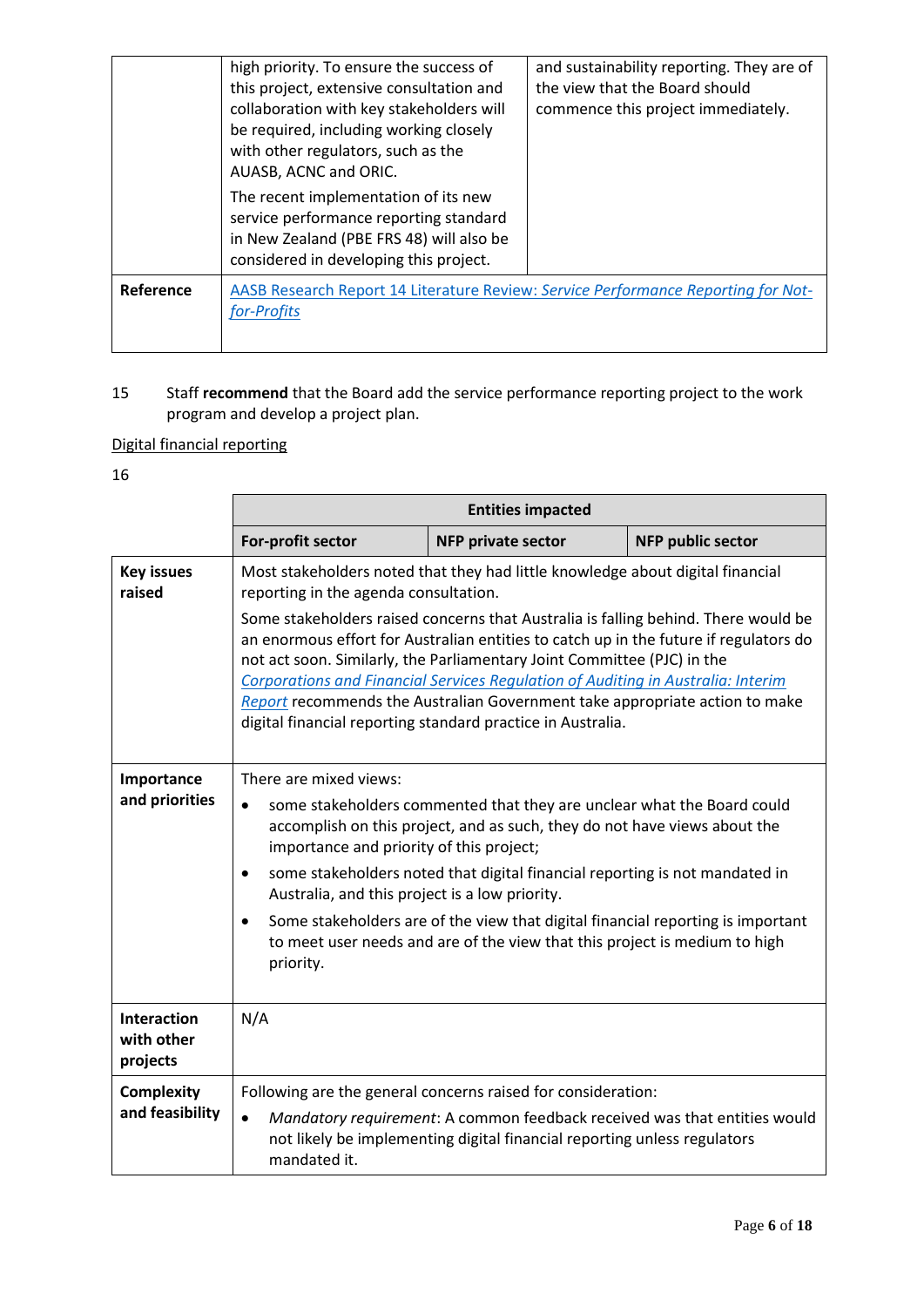|           | high priority. To ensure the success of<br>this project, extensive consultation and<br>collaboration with key stakeholders will<br>be required, including working closely<br>with other regulators, such as the<br>AUASB, ACNC and ORIC. | and sustainability reporting. They are of<br>the view that the Board should<br>commence this project immediately. |
|-----------|------------------------------------------------------------------------------------------------------------------------------------------------------------------------------------------------------------------------------------------|-------------------------------------------------------------------------------------------------------------------|
|           | The recent implementation of its new<br>service performance reporting standard<br>in New Zealand (PBE FRS 48) will also be<br>considered in developing this project.                                                                     |                                                                                                                   |
| Reference | AASB Research Report 14 Literature Review: Service Performance Reporting for Not-<br>for-Profits                                                                                                                                         |                                                                                                                   |

15 Staff **recommend** that the Board add the service performance reporting project to the work program and develop a project plan.

## Digital financial reporting

|                                              |                                                                                                                                                                          | <b>Entities impacted</b>                                                                                                                                                                                                                                                                                                                                                                                                                                                                                                                                                   |  |  |
|----------------------------------------------|--------------------------------------------------------------------------------------------------------------------------------------------------------------------------|----------------------------------------------------------------------------------------------------------------------------------------------------------------------------------------------------------------------------------------------------------------------------------------------------------------------------------------------------------------------------------------------------------------------------------------------------------------------------------------------------------------------------------------------------------------------------|--|--|
|                                              | For-profit sector<br><b>NFP public sector</b><br><b>NFP private sector</b>                                                                                               |                                                                                                                                                                                                                                                                                                                                                                                                                                                                                                                                                                            |  |  |
| <b>Key issues</b><br>raised                  | reporting in the agenda consultation.                                                                                                                                    | Most stakeholders noted that they had little knowledge about digital financial<br>Some stakeholders raised concerns that Australia is falling behind. There would be<br>an enormous effort for Australian entities to catch up in the future if regulators do<br>not act soon. Similarly, the Parliamentary Joint Committee (PJC) in the<br>Corporations and Financial Services Regulation of Auditing in Australia: Interim<br>Report recommends the Australian Government take appropriate action to make<br>digital financial reporting standard practice in Australia. |  |  |
| Importance<br>and priorities                 | There are mixed views:<br>$\bullet$<br>importance and priority of this project;<br>$\bullet$<br>Australia, and this project is a low priority.<br>$\bullet$<br>priority. | some stakeholders commented that they are unclear what the Board could<br>accomplish on this project, and as such, they do not have views about the<br>some stakeholders noted that digital financial reporting is not mandated in<br>Some stakeholders are of the view that digital financial reporting is important<br>to meet user needs and are of the view that this project is medium to high                                                                                                                                                                        |  |  |
| <b>Interaction</b><br>with other<br>projects | N/A                                                                                                                                                                      |                                                                                                                                                                                                                                                                                                                                                                                                                                                                                                                                                                            |  |  |
| <b>Complexity</b><br>and feasibility         | $\bullet$<br>mandated it.                                                                                                                                                | Following are the general concerns raised for consideration:<br>Mandatory requirement: A common feedback received was that entities would<br>not likely be implementing digital financial reporting unless regulators                                                                                                                                                                                                                                                                                                                                                      |  |  |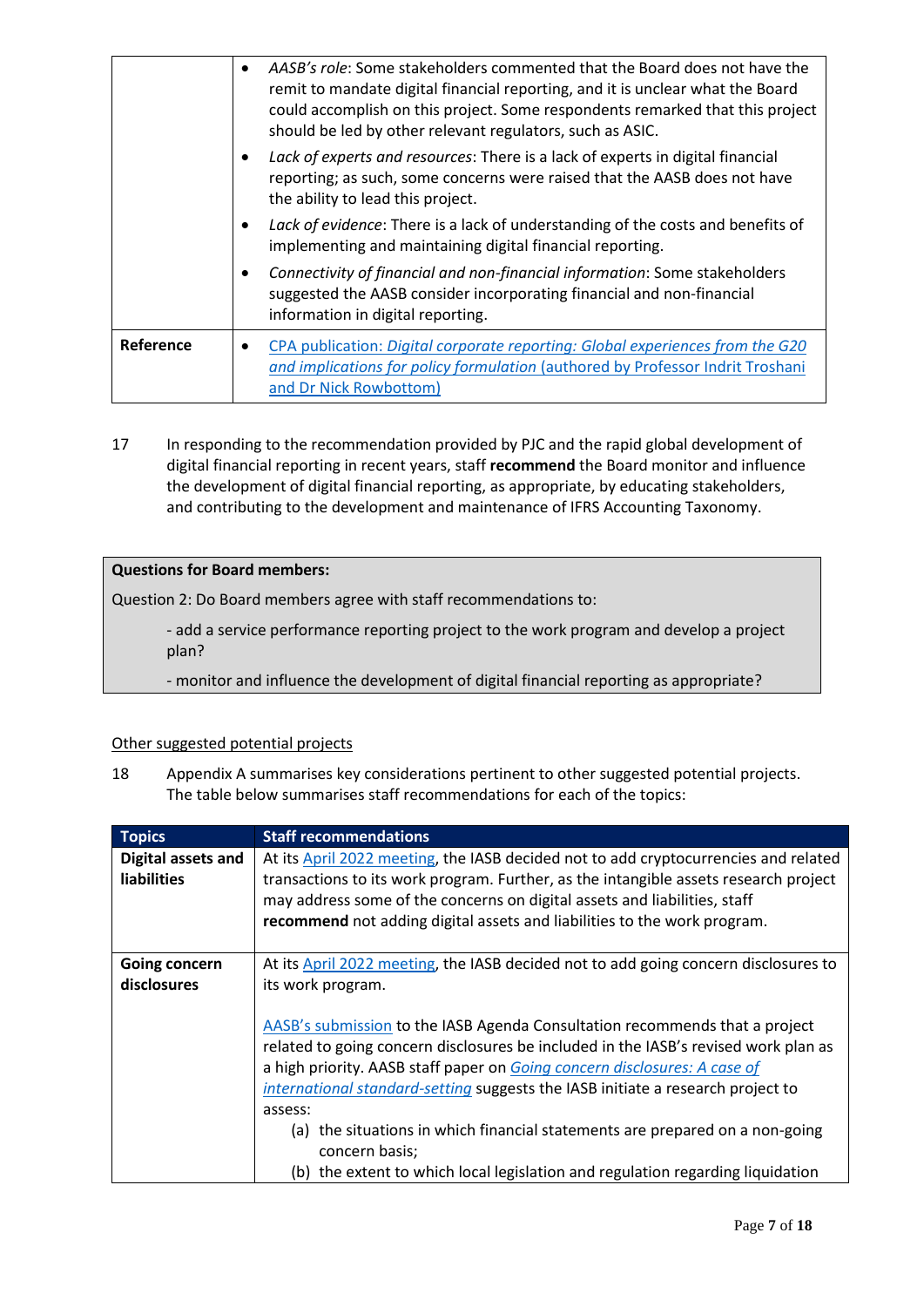|           | AASB's role: Some stakeholders commented that the Board does not have the<br>remit to mandate digital financial reporting, and it is unclear what the Board<br>could accomplish on this project. Some respondents remarked that this project<br>should be led by other relevant regulators, such as ASIC. |
|-----------|-----------------------------------------------------------------------------------------------------------------------------------------------------------------------------------------------------------------------------------------------------------------------------------------------------------|
|           | Lack of experts and resources: There is a lack of experts in digital financial<br>reporting; as such, some concerns were raised that the AASB does not have<br>the ability to lead this project.                                                                                                          |
|           | Lack of evidence: There is a lack of understanding of the costs and benefits of<br>implementing and maintaining digital financial reporting.                                                                                                                                                              |
|           | Connectivity of financial and non-financial information: Some stakeholders<br>suggested the AASB consider incorporating financial and non-financial<br>information in digital reporting.                                                                                                                  |
| Reference | CPA publication: Digital corporate reporting: Global experiences from the G20<br>and implications for policy formulation (authored by Professor Indrit Troshani<br>and Dr Nick Rowbottom)                                                                                                                 |

17 In responding to the recommendation provided by PJC and the rapid global development of digital financial reporting in recent years, staff **recommend** the Board monitor and influence the development of digital financial reporting, as appropriate, by educating stakeholders, and contributing to the development and maintenance of IFRS Accounting Taxonomy.

#### **Questions for Board members:**

Question 2: Do Board members agree with staff recommendations to:

- add a service performance reporting project to the work program and develop a project plan?

- monitor and influence the development of digital financial reporting as appropriate?

#### Other suggested potential projects

18 Appendix A summarises key considerations pertinent to other suggested potential projects. The table below summarises staff recommendations for each of the topics:

| <b>Topics</b>                            | <b>Staff recommendations</b>                                                                                                                                                                                                                                                                                                                                                                                                  |
|------------------------------------------|-------------------------------------------------------------------------------------------------------------------------------------------------------------------------------------------------------------------------------------------------------------------------------------------------------------------------------------------------------------------------------------------------------------------------------|
| Digital assets and<br><b>liabilities</b> | At its April 2022 meeting, the IASB decided not to add cryptocurrencies and related<br>transactions to its work program. Further, as the intangible assets research project<br>may address some of the concerns on digital assets and liabilities, staff<br>recommend not adding digital assets and liabilities to the work program.                                                                                          |
| Going concern<br>disclosures             | At its April 2022 meeting, the IASB decided not to add going concern disclosures to<br>its work program.                                                                                                                                                                                                                                                                                                                      |
|                                          | AASB's submission to the IASB Agenda Consultation recommends that a project<br>related to going concern disclosures be included in the IASB's revised work plan as<br>a high priority. AASB staff paper on Going concern disclosures: A case of<br>international standard-setting suggests the IASB initiate a research project to<br>assess:<br>(a) the situations in which financial statements are prepared on a non-going |
|                                          | concern basis;<br>(b) the extent to which local legislation and regulation regarding liquidation                                                                                                                                                                                                                                                                                                                              |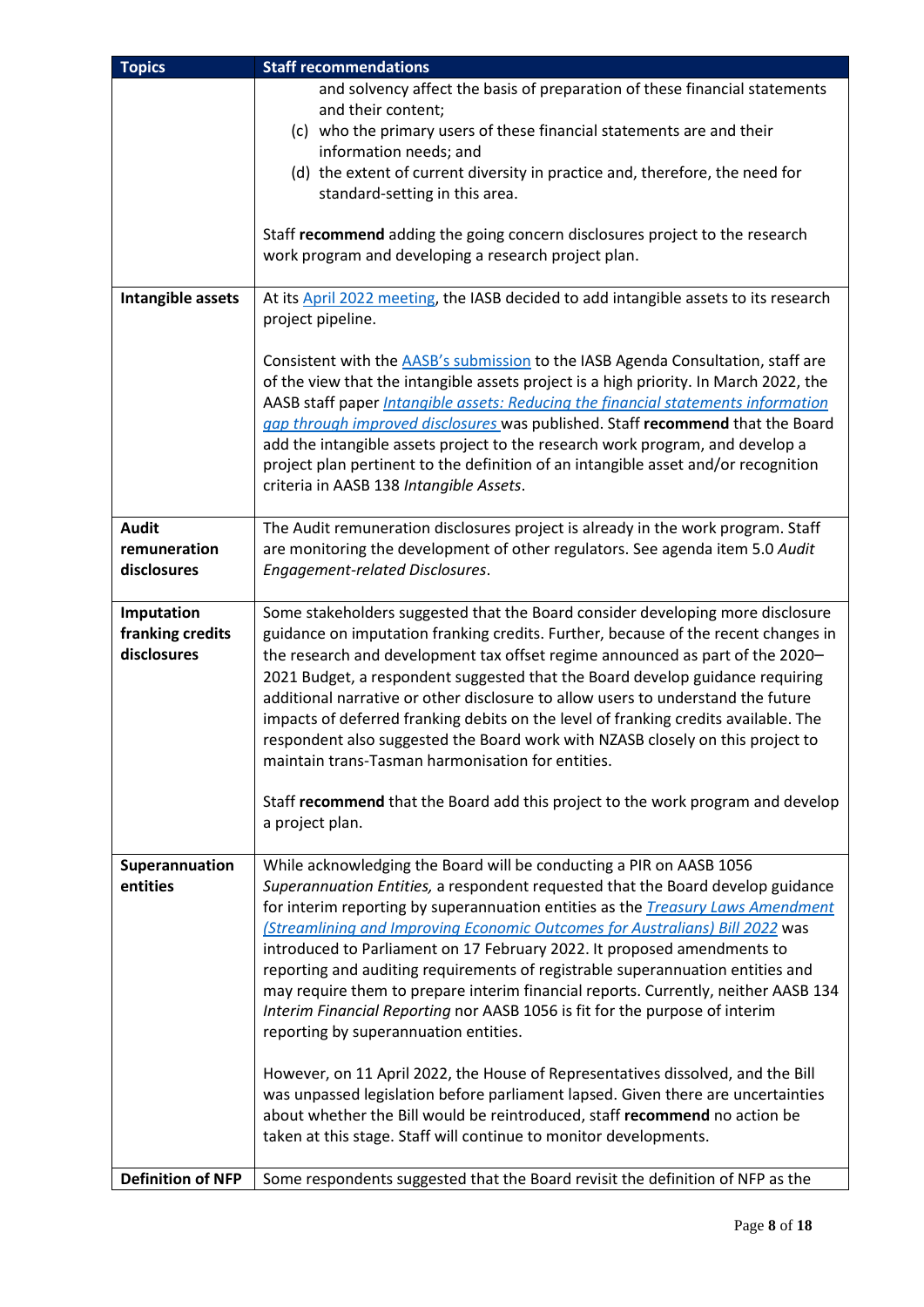| <b>Topics</b>            | <b>Staff recommendations</b>                                                                       |
|--------------------------|----------------------------------------------------------------------------------------------------|
|                          | and solvency affect the basis of preparation of these financial statements                         |
|                          | and their content;                                                                                 |
|                          | (c) who the primary users of these financial statements are and their                              |
|                          | information needs; and                                                                             |
|                          | (d) the extent of current diversity in practice and, therefore, the need for                       |
|                          | standard-setting in this area.                                                                     |
|                          |                                                                                                    |
|                          | Staff recommend adding the going concern disclosures project to the research                       |
|                          | work program and developing a research project plan.                                               |
|                          |                                                                                                    |
| Intangible assets        | At its April 2022 meeting, the IASB decided to add intangible assets to its research               |
|                          | project pipeline.                                                                                  |
|                          | Consistent with the AASB's submission to the IASB Agenda Consultation, staff are                   |
|                          | of the view that the intangible assets project is a high priority. In March 2022, the              |
|                          | AASB staff paper <i>Intangible assets: Reducing the financial statements information</i>           |
|                          | gap through improved disclosures was published. Staff recommend that the Board                     |
|                          | add the intangible assets project to the research work program, and develop a                      |
|                          | project plan pertinent to the definition of an intangible asset and/or recognition                 |
|                          | criteria in AASB 138 Intangible Assets.                                                            |
|                          |                                                                                                    |
| <b>Audit</b>             | The Audit remuneration disclosures project is already in the work program. Staff                   |
| remuneration             | are monitoring the development of other regulators. See agenda item 5.0 Audit                      |
| disclosures              | Engagement-related Disclosures.                                                                    |
|                          |                                                                                                    |
| Imputation               | Some stakeholders suggested that the Board consider developing more disclosure                     |
| franking credits         | guidance on imputation franking credits. Further, because of the recent changes in                 |
| disclosures              | the research and development tax offset regime announced as part of the 2020-                      |
|                          | 2021 Budget, a respondent suggested that the Board develop guidance requiring                      |
|                          | additional narrative or other disclosure to allow users to understand the future                   |
|                          | impacts of deferred franking debits on the level of franking credits available. The                |
|                          | respondent also suggested the Board work with NZASB closely on this project to                     |
|                          | maintain trans-Tasman harmonisation for entities.                                                  |
|                          |                                                                                                    |
|                          | Staff recommend that the Board add this project to the work program and develop<br>a project plan. |
|                          |                                                                                                    |
| Superannuation           | While acknowledging the Board will be conducting a PIR on AASB 1056                                |
| entities                 | Superannuation Entities, a respondent requested that the Board develop guidance                    |
|                          | for interim reporting by superannuation entities as the <i>Treasury Laws Amendment</i>             |
|                          | (Streamlining and Improving Economic Outcomes for Australians) Bill 2022 was                       |
|                          | introduced to Parliament on 17 February 2022. It proposed amendments to                            |
|                          | reporting and auditing requirements of registrable superannuation entities and                     |
|                          | may require them to prepare interim financial reports. Currently, neither AASB 134                 |
|                          | Interim Financial Reporting nor AASB 1056 is fit for the purpose of interim                        |
|                          | reporting by superannuation entities.                                                              |
|                          |                                                                                                    |
|                          | However, on 11 April 2022, the House of Representatives dissolved, and the Bill                    |
|                          | was unpassed legislation before parliament lapsed. Given there are uncertainties                   |
|                          | about whether the Bill would be reintroduced, staff recommend no action be                         |
|                          | taken at this stage. Staff will continue to monitor developments.                                  |
|                          |                                                                                                    |
| <b>Definition of NFP</b> | Some respondents suggested that the Board revisit the definition of NFP as the                     |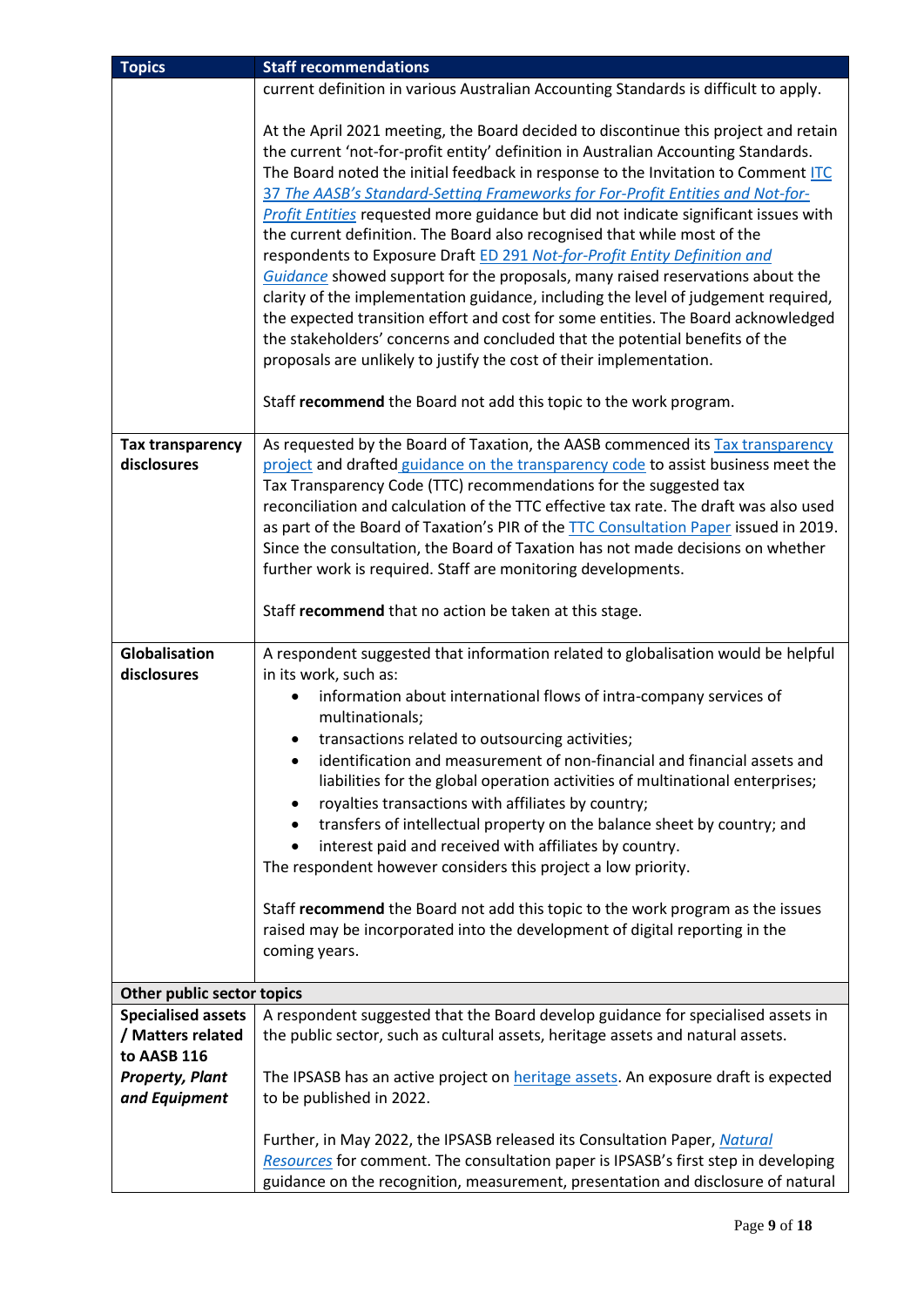| <b>Topics</b>                                                                                            | <b>Staff recommendations</b>                                                                                                                                                                                                                                                                                                                                                                                                                                                                                                                                                                                                                                                                                                                                                                                                                                                                                                                                                                                        |  |  |  |  |  |  |
|----------------------------------------------------------------------------------------------------------|---------------------------------------------------------------------------------------------------------------------------------------------------------------------------------------------------------------------------------------------------------------------------------------------------------------------------------------------------------------------------------------------------------------------------------------------------------------------------------------------------------------------------------------------------------------------------------------------------------------------------------------------------------------------------------------------------------------------------------------------------------------------------------------------------------------------------------------------------------------------------------------------------------------------------------------------------------------------------------------------------------------------|--|--|--|--|--|--|
|                                                                                                          | current definition in various Australian Accounting Standards is difficult to apply.                                                                                                                                                                                                                                                                                                                                                                                                                                                                                                                                                                                                                                                                                                                                                                                                                                                                                                                                |  |  |  |  |  |  |
|                                                                                                          | At the April 2021 meeting, the Board decided to discontinue this project and retain<br>the current 'not-for-profit entity' definition in Australian Accounting Standards.<br>The Board noted the initial feedback in response to the Invitation to Comment ITC<br>37 The AASB's Standard-Setting Frameworks for For-Profit Entities and Not-for-<br>Profit Entities requested more guidance but did not indicate significant issues with<br>the current definition. The Board also recognised that while most of the<br>respondents to Exposure Draft ED 291 Not-for-Profit Entity Definition and<br>Guidance showed support for the proposals, many raised reservations about the<br>clarity of the implementation guidance, including the level of judgement required,<br>the expected transition effort and cost for some entities. The Board acknowledged<br>the stakeholders' concerns and concluded that the potential benefits of the<br>proposals are unlikely to justify the cost of their implementation. |  |  |  |  |  |  |
|                                                                                                          | Staff recommend the Board not add this topic to the work program.                                                                                                                                                                                                                                                                                                                                                                                                                                                                                                                                                                                                                                                                                                                                                                                                                                                                                                                                                   |  |  |  |  |  |  |
| <b>Tax transparency</b><br>disclosures                                                                   | As requested by the Board of Taxation, the AASB commenced its Tax transparency<br>project and drafted guidance on the transparency code to assist business meet the<br>Tax Transparency Code (TTC) recommendations for the suggested tax<br>reconciliation and calculation of the TTC effective tax rate. The draft was also used<br>as part of the Board of Taxation's PIR of the TTC Consultation Paper issued in 2019.<br>Since the consultation, the Board of Taxation has not made decisions on whether<br>further work is required. Staff are monitoring developments.                                                                                                                                                                                                                                                                                                                                                                                                                                        |  |  |  |  |  |  |
|                                                                                                          | Staff recommend that no action be taken at this stage.                                                                                                                                                                                                                                                                                                                                                                                                                                                                                                                                                                                                                                                                                                                                                                                                                                                                                                                                                              |  |  |  |  |  |  |
| Globalisation<br>disclosures                                                                             | A respondent suggested that information related to globalisation would be helpful<br>in its work, such as:<br>information about international flows of intra-company services of<br>multinationals;<br>transactions related to outsourcing activities;<br>identification and measurement of non-financial and financial assets and<br>liabilities for the global operation activities of multinational enterprises;<br>royalties transactions with affiliates by country;<br>transfers of intellectual property on the balance sheet by country; and<br>interest paid and received with affiliates by country.<br>The respondent however considers this project a low priority.<br>Staff recommend the Board not add this topic to the work program as the issues<br>raised may be incorporated into the development of digital reporting in the<br>coming years.                                                                                                                                                   |  |  |  |  |  |  |
| Other public sector topics                                                                               |                                                                                                                                                                                                                                                                                                                                                                                                                                                                                                                                                                                                                                                                                                                                                                                                                                                                                                                                                                                                                     |  |  |  |  |  |  |
| <b>Specialised assets</b><br>/ Matters related<br>to AASB 116<br><b>Property, Plant</b><br>and Equipment | A respondent suggested that the Board develop guidance for specialised assets in<br>the public sector, such as cultural assets, heritage assets and natural assets.<br>The IPSASB has an active project on <b>heritage assets</b> . An exposure draft is expected<br>to be published in 2022.                                                                                                                                                                                                                                                                                                                                                                                                                                                                                                                                                                                                                                                                                                                       |  |  |  |  |  |  |
|                                                                                                          | Further, in May 2022, the IPSASB released its Consultation Paper, Natural<br>Resources for comment. The consultation paper is IPSASB's first step in developing<br>guidance on the recognition, measurement, presentation and disclosure of natural                                                                                                                                                                                                                                                                                                                                                                                                                                                                                                                                                                                                                                                                                                                                                                 |  |  |  |  |  |  |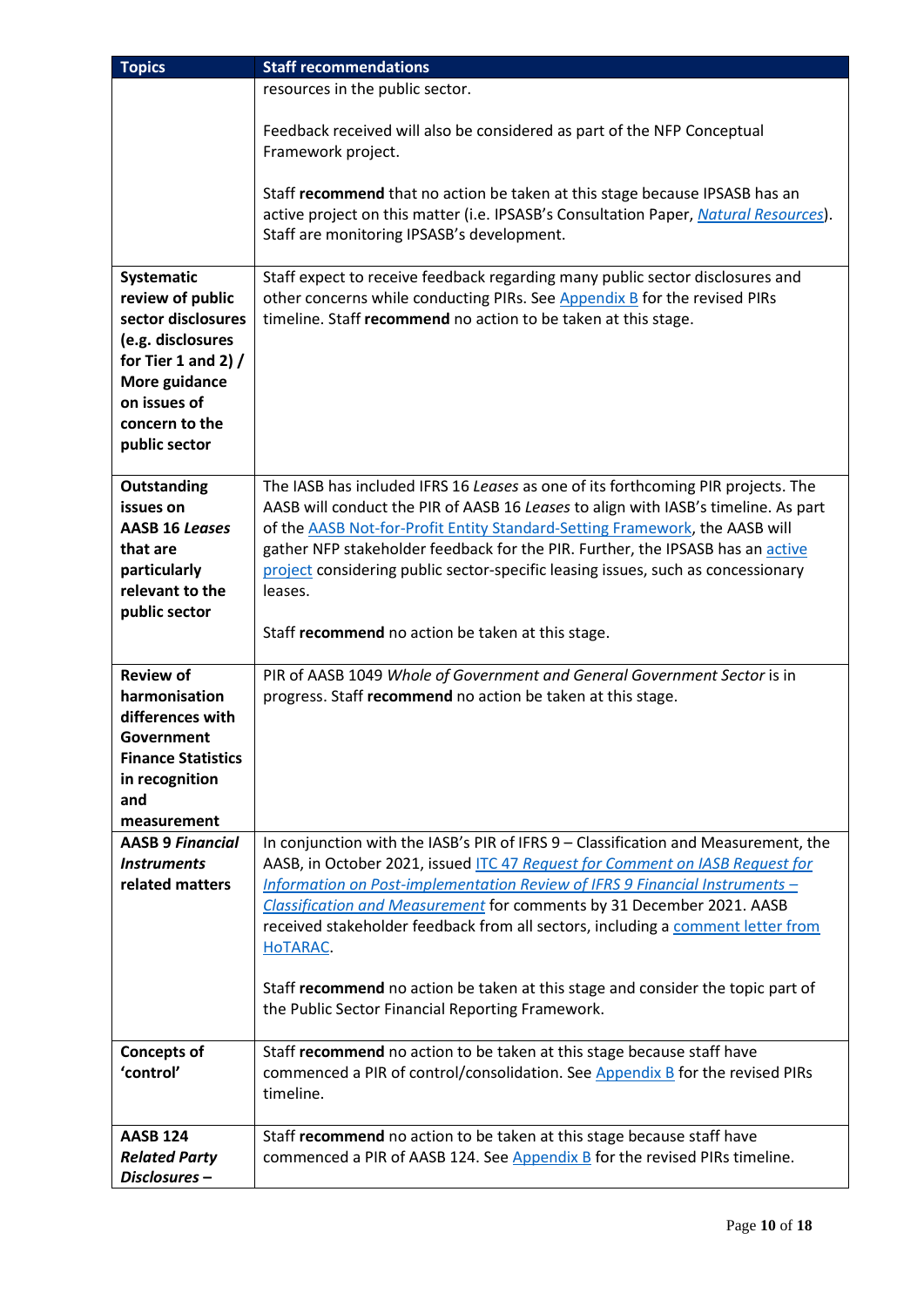| <b>Topics</b>                                                                                                                                                          | <b>Staff recommendations</b>                                                                                                                                                                                                                                                                                                                                                                                                                                                                                                                                     |
|------------------------------------------------------------------------------------------------------------------------------------------------------------------------|------------------------------------------------------------------------------------------------------------------------------------------------------------------------------------------------------------------------------------------------------------------------------------------------------------------------------------------------------------------------------------------------------------------------------------------------------------------------------------------------------------------------------------------------------------------|
|                                                                                                                                                                        | resources in the public sector.                                                                                                                                                                                                                                                                                                                                                                                                                                                                                                                                  |
|                                                                                                                                                                        | Feedback received will also be considered as part of the NFP Conceptual<br>Framework project.                                                                                                                                                                                                                                                                                                                                                                                                                                                                    |
|                                                                                                                                                                        | Staff recommend that no action be taken at this stage because IPSASB has an<br>active project on this matter (i.e. IPSASB's Consultation Paper, Natural Resources).<br>Staff are monitoring IPSASB's development.                                                                                                                                                                                                                                                                                                                                                |
| Systematic<br>review of public<br>sector disclosures<br>(e.g. disclosures<br>for Tier 1 and 2) $/$<br>More guidance<br>on issues of<br>concern to the<br>public sector | Staff expect to receive feedback regarding many public sector disclosures and<br>other concerns while conducting PIRs. See Appendix B for the revised PIRs<br>timeline. Staff recommend no action to be taken at this stage.                                                                                                                                                                                                                                                                                                                                     |
| Outstanding<br>issues on<br><b>AASB 16 Leases</b><br>that are<br>particularly<br>relevant to the<br>public sector                                                      | The IASB has included IFRS 16 Leases as one of its forthcoming PIR projects. The<br>AASB will conduct the PIR of AASB 16 Leases to align with IASB's timeline. As part<br>of the AASB Not-for-Profit Entity Standard-Setting Framework, the AASB will<br>gather NFP stakeholder feedback for the PIR. Further, the IPSASB has an active<br>project considering public sector-specific leasing issues, such as concessionary<br>leases.<br>Staff recommend no action be taken at this stage.                                                                      |
| <b>Review of</b><br>harmonisation<br>differences with<br>Government<br><b>Finance Statistics</b><br>in recognition<br>and                                              | PIR of AASB 1049 Whole of Government and General Government Sector is in<br>progress. Staff recommend no action be taken at this stage.                                                                                                                                                                                                                                                                                                                                                                                                                          |
| measurement<br><b>AASB 9 Financial</b><br><b>Instruments</b><br>related matters                                                                                        | In conjunction with the IASB's PIR of IFRS 9 - Classification and Measurement, the<br>AASB, in October 2021, issued ITC 47 Request for Comment on IASB Request for<br>Information on Post-implementation Review of IFRS 9 Financial Instruments -<br>Classification and Measurement for comments by 31 December 2021. AASB<br>received stakeholder feedback from all sectors, including a comment letter from<br>HOTARAC.<br>Staff recommend no action be taken at this stage and consider the topic part of<br>the Public Sector Financial Reporting Framework. |
| <b>Concepts of</b><br>'control'                                                                                                                                        | Staff recommend no action to be taken at this stage because staff have<br>commenced a PIR of control/consolidation. See Appendix B for the revised PIRs<br>timeline.                                                                                                                                                                                                                                                                                                                                                                                             |
| <b>AASB 124</b><br><b>Related Party</b><br>Disclosures-                                                                                                                | Staff recommend no action to be taken at this stage because staff have<br>commenced a PIR of AASB 124. See $Appendix B$ for the revised PIRs timeline.                                                                                                                                                                                                                                                                                                                                                                                                           |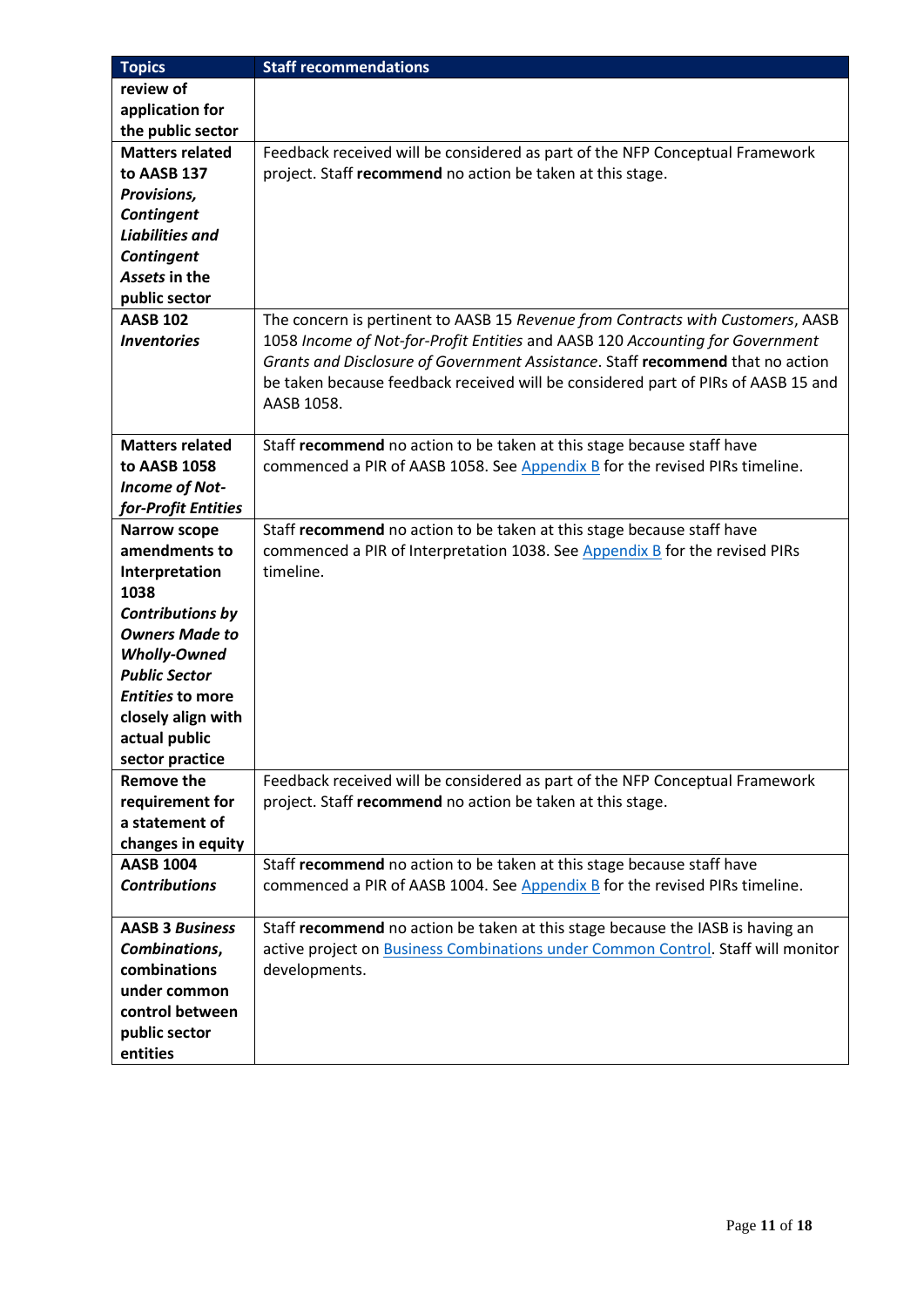| <b>Topics</b>           | <b>Staff recommendations</b>                                                      |
|-------------------------|-----------------------------------------------------------------------------------|
| review of               |                                                                                   |
| application for         |                                                                                   |
| the public sector       |                                                                                   |
| <b>Matters related</b>  | Feedback received will be considered as part of the NFP Conceptual Framework      |
| to AASB 137             | project. Staff recommend no action be taken at this stage.                        |
| Provisions,             |                                                                                   |
| <b>Contingent</b>       |                                                                                   |
| <b>Liabilities and</b>  |                                                                                   |
| Contingent              |                                                                                   |
| Assets in the           |                                                                                   |
| public sector           |                                                                                   |
| <b>AASB 102</b>         | The concern is pertinent to AASB 15 Revenue from Contracts with Customers, AASB   |
| <b>Inventories</b>      | 1058 Income of Not-for-Profit Entities and AASB 120 Accounting for Government     |
|                         | Grants and Disclosure of Government Assistance. Staff recommend that no action    |
|                         | be taken because feedback received will be considered part of PIRs of AASB 15 and |
|                         | AASB 1058.                                                                        |
| <b>Matters related</b>  | Staff recommend no action to be taken at this stage because staff have            |
| to AASB 1058            | commenced a PIR of AASB 1058. See Appendix B for the revised PIRs timeline.       |
|                         |                                                                                   |
| <b>Income of Not-</b>   |                                                                                   |
| for-Profit Entities     |                                                                                   |
| <b>Narrow scope</b>     | Staff recommend no action to be taken at this stage because staff have            |
| amendments to           | commenced a PIR of Interpretation 1038. See Appendix B for the revised PIRs       |
| Interpretation<br>1038  | timeline.                                                                         |
| <b>Contributions by</b> |                                                                                   |
| <b>Owners Made to</b>   |                                                                                   |
| <b>Wholly-Owned</b>     |                                                                                   |
| <b>Public Sector</b>    |                                                                                   |
| <b>Entities to more</b> |                                                                                   |
| closely align with      |                                                                                   |
| actual public           |                                                                                   |
| sector practice         |                                                                                   |
| <b>Remove the</b>       | Feedback received will be considered as part of the NFP Conceptual Framework      |
| requirement for         | project. Staff recommend no action be taken at this stage.                        |
| a statement of          |                                                                                   |
| changes in equity       |                                                                                   |
| <b>AASB 1004</b>        | Staff recommend no action to be taken at this stage because staff have            |
| <b>Contributions</b>    | commenced a PIR of AASB 1004. See Appendix B for the revised PIRs timeline.       |
|                         |                                                                                   |
| <b>AASB 3 Business</b>  | Staff recommend no action be taken at this stage because the IASB is having an    |
| Combinations,           | active project on Business Combinations under Common Control. Staff will monitor  |
| combinations            | developments.                                                                     |
| under common            |                                                                                   |
| control between         |                                                                                   |
| public sector           |                                                                                   |
| entities                |                                                                                   |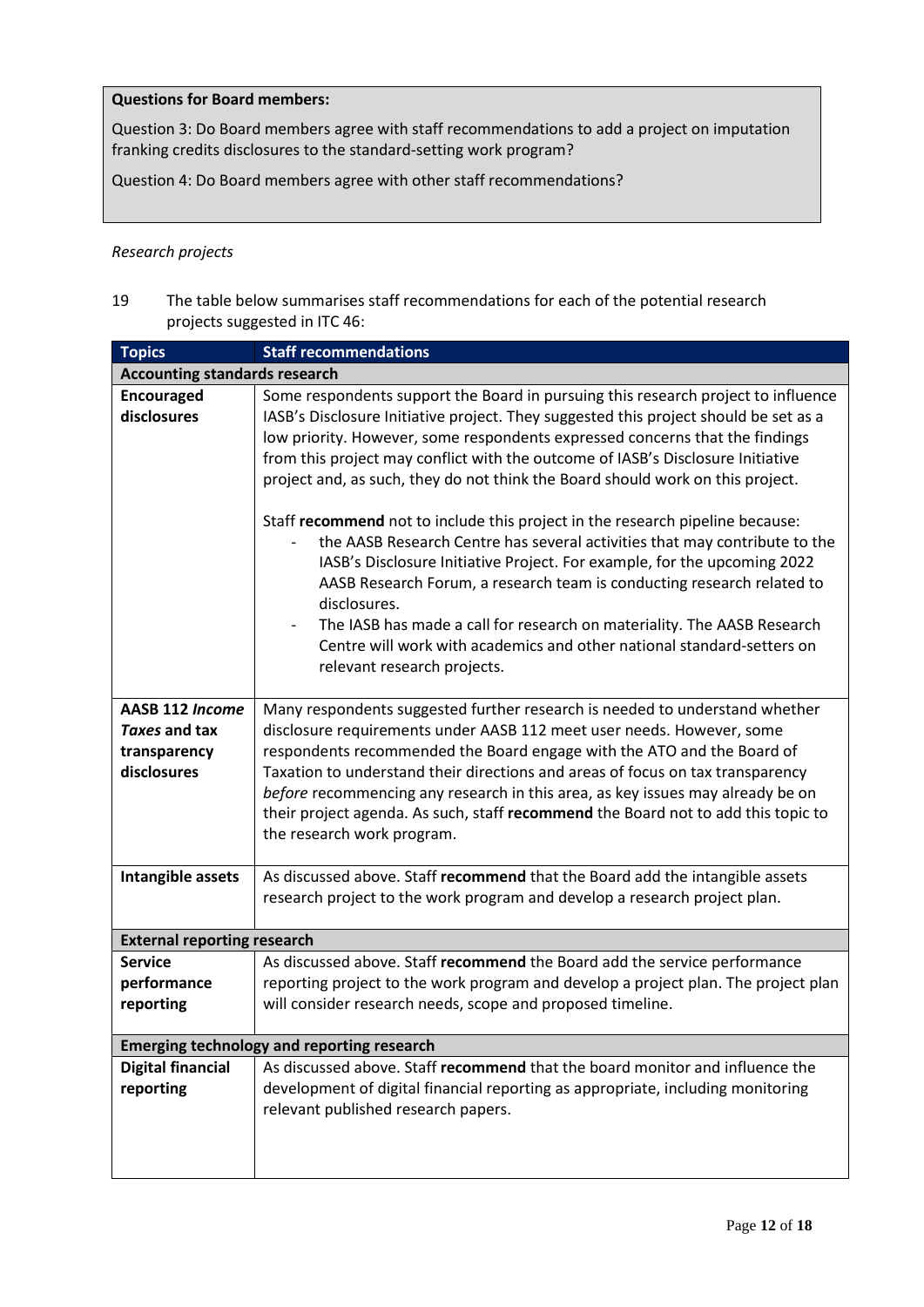#### **Questions for Board members:**

Question 3: Do Board members agree with staff recommendations to add a project on imputation franking credits disclosures to the standard-setting work program?

Question 4: Do Board members agree with other staff recommendations?

#### *Research projects*

19 The table below summarises staff recommendations for each of the potential research projects suggested in ITC 46:

| <b>Topics</b>                                                                        | <b>Staff recommendations</b>                                                                                                                                                                                                                                                                                                                                                                                                                                                                                                                                                                                                                                                                                                                                                                                                                                                                                                                            |
|--------------------------------------------------------------------------------------|---------------------------------------------------------------------------------------------------------------------------------------------------------------------------------------------------------------------------------------------------------------------------------------------------------------------------------------------------------------------------------------------------------------------------------------------------------------------------------------------------------------------------------------------------------------------------------------------------------------------------------------------------------------------------------------------------------------------------------------------------------------------------------------------------------------------------------------------------------------------------------------------------------------------------------------------------------|
| <b>Accounting standards research</b>                                                 |                                                                                                                                                                                                                                                                                                                                                                                                                                                                                                                                                                                                                                                                                                                                                                                                                                                                                                                                                         |
| <b>Encouraged</b><br>disclosures                                                     | Some respondents support the Board in pursuing this research project to influence<br>IASB's Disclosure Initiative project. They suggested this project should be set as a<br>low priority. However, some respondents expressed concerns that the findings<br>from this project may conflict with the outcome of IASB's Disclosure Initiative<br>project and, as such, they do not think the Board should work on this project.<br>Staff recommend not to include this project in the research pipeline because:<br>the AASB Research Centre has several activities that may contribute to the<br>IASB's Disclosure Initiative Project. For example, for the upcoming 2022<br>AASB Research Forum, a research team is conducting research related to<br>disclosures.<br>The IASB has made a call for research on materiality. The AASB Research<br>Centre will work with academics and other national standard-setters on<br>relevant research projects. |
| AASB 112 Income<br>Taxes and tax<br>transparency<br>disclosures<br>Intangible assets | Many respondents suggested further research is needed to understand whether<br>disclosure requirements under AASB 112 meet user needs. However, some<br>respondents recommended the Board engage with the ATO and the Board of<br>Taxation to understand their directions and areas of focus on tax transparency<br>before recommencing any research in this area, as key issues may already be on<br>their project agenda. As such, staff recommend the Board not to add this topic to<br>the research work program.<br>As discussed above. Staff recommend that the Board add the intangible assets                                                                                                                                                                                                                                                                                                                                                   |
|                                                                                      | research project to the work program and develop a research project plan.                                                                                                                                                                                                                                                                                                                                                                                                                                                                                                                                                                                                                                                                                                                                                                                                                                                                               |
| <b>External reporting research</b>                                                   |                                                                                                                                                                                                                                                                                                                                                                                                                                                                                                                                                                                                                                                                                                                                                                                                                                                                                                                                                         |
| <b>Service</b><br>performance<br>reporting                                           | As discussed above. Staff recommend the Board add the service performance<br>reporting project to the work program and develop a project plan. The project plan<br>will consider research needs, scope and proposed timeline.                                                                                                                                                                                                                                                                                                                                                                                                                                                                                                                                                                                                                                                                                                                           |
|                                                                                      | <b>Emerging technology and reporting research</b>                                                                                                                                                                                                                                                                                                                                                                                                                                                                                                                                                                                                                                                                                                                                                                                                                                                                                                       |
| <b>Digital financial</b><br>reporting                                                | As discussed above. Staff recommend that the board monitor and influence the<br>development of digital financial reporting as appropriate, including monitoring<br>relevant published research papers.                                                                                                                                                                                                                                                                                                                                                                                                                                                                                                                                                                                                                                                                                                                                                  |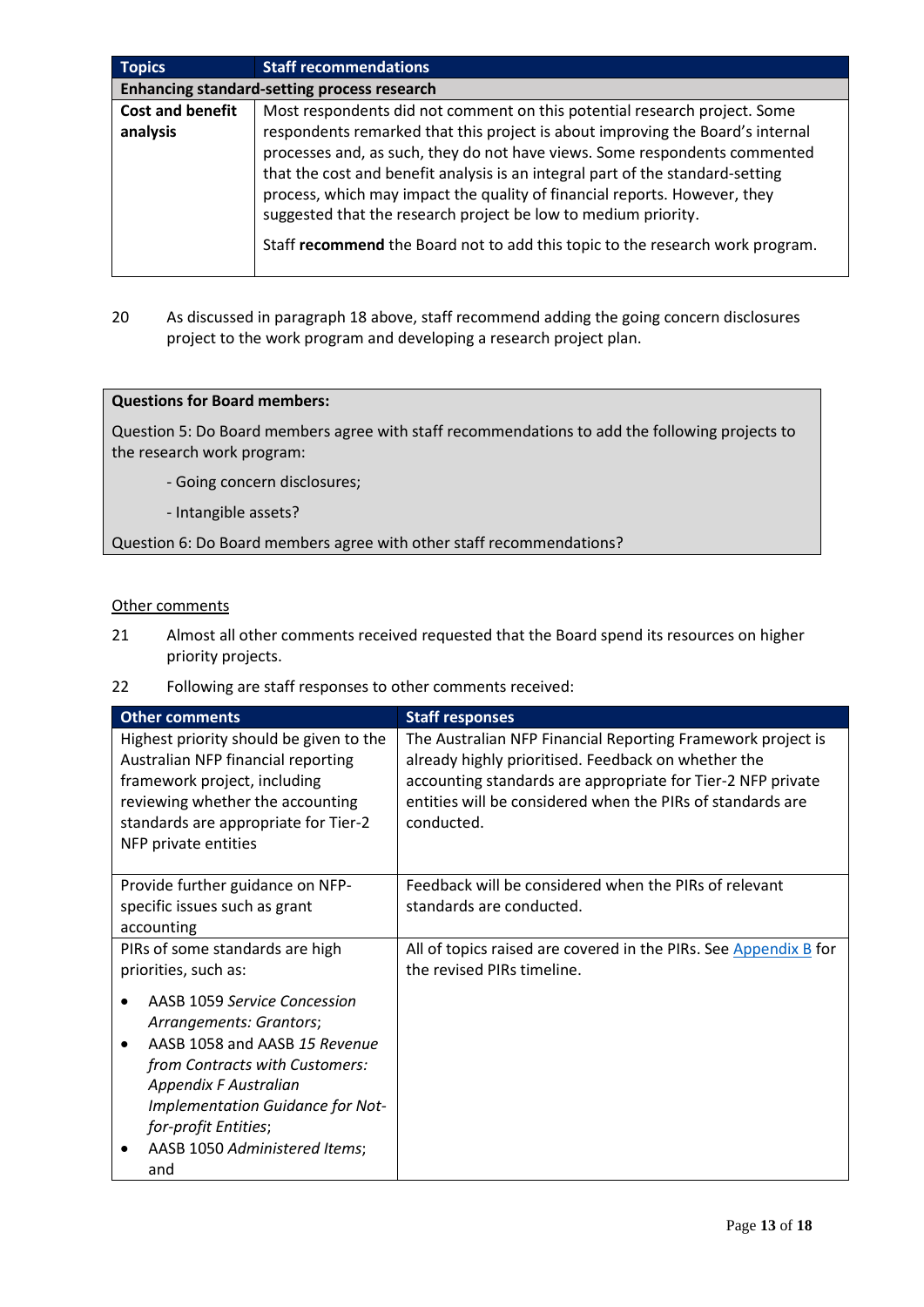| <b>Topics</b>           | <b>Staff recommendations</b>                                                   |  |  |  |  |  |  |  |  |  |  |  |
|-------------------------|--------------------------------------------------------------------------------|--|--|--|--|--|--|--|--|--|--|--|
|                         | Enhancing standard-setting process research                                    |  |  |  |  |  |  |  |  |  |  |  |
| <b>Cost and benefit</b> | Most respondents did not comment on this potential research project. Some      |  |  |  |  |  |  |  |  |  |  |  |
| analysis                | respondents remarked that this project is about improving the Board's internal |  |  |  |  |  |  |  |  |  |  |  |
|                         | processes and, as such, they do not have views. Some respondents commented     |  |  |  |  |  |  |  |  |  |  |  |
|                         | that the cost and benefit analysis is an integral part of the standard-setting |  |  |  |  |  |  |  |  |  |  |  |
|                         | process, which may impact the quality of financial reports. However, they      |  |  |  |  |  |  |  |  |  |  |  |
|                         | suggested that the research project be low to medium priority.                 |  |  |  |  |  |  |  |  |  |  |  |
|                         | Staff recommend the Board not to add this topic to the research work program.  |  |  |  |  |  |  |  |  |  |  |  |

20 As discussed in paragraph 18 above, staff recommend adding the going concern disclosures project to the work program and developing a research project plan.

#### **Questions for Board members:**

Question 5: Do Board members agree with staff recommendations to add the following projects to the research work program:

- Going concern disclosures;
- Intangible assets?

Question 6: Do Board members agree with other staff recommendations?

#### Other comments

- 21 Almost all other comments received requested that the Board spend its resources on higher priority projects.
- 22 Following are staff responses to other comments received:

| <b>Other comments</b>                                                                                                                                                                                             | <b>Staff responses</b>                                                                                                                                                                                                                                        |
|-------------------------------------------------------------------------------------------------------------------------------------------------------------------------------------------------------------------|---------------------------------------------------------------------------------------------------------------------------------------------------------------------------------------------------------------------------------------------------------------|
| Highest priority should be given to the<br>Australian NFP financial reporting<br>framework project, including<br>reviewing whether the accounting<br>standards are appropriate for Tier-2<br>NFP private entities | The Australian NFP Financial Reporting Framework project is<br>already highly prioritised. Feedback on whether the<br>accounting standards are appropriate for Tier-2 NFP private<br>entities will be considered when the PIRs of standards are<br>conducted. |
| Provide further guidance on NFP-<br>specific issues such as grant                                                                                                                                                 | Feedback will be considered when the PIRs of relevant<br>standards are conducted.                                                                                                                                                                             |
| accounting                                                                                                                                                                                                        |                                                                                                                                                                                                                                                               |
| PIRs of some standards are high<br>priorities, such as:                                                                                                                                                           | All of topics raised are covered in the PIRs. See Appendix B for<br>the revised PIRs timeline.                                                                                                                                                                |
| AASB 1059 Service Concession<br>Arrangements: Grantors;                                                                                                                                                           |                                                                                                                                                                                                                                                               |
| AASB 1058 and AASB 15 Revenue<br>from Contracts with Customers:<br>Appendix F Australian<br>Implementation Guidance for Not-<br>for-profit Entities;                                                              |                                                                                                                                                                                                                                                               |
| AASB 1050 Administered Items;<br>and                                                                                                                                                                              |                                                                                                                                                                                                                                                               |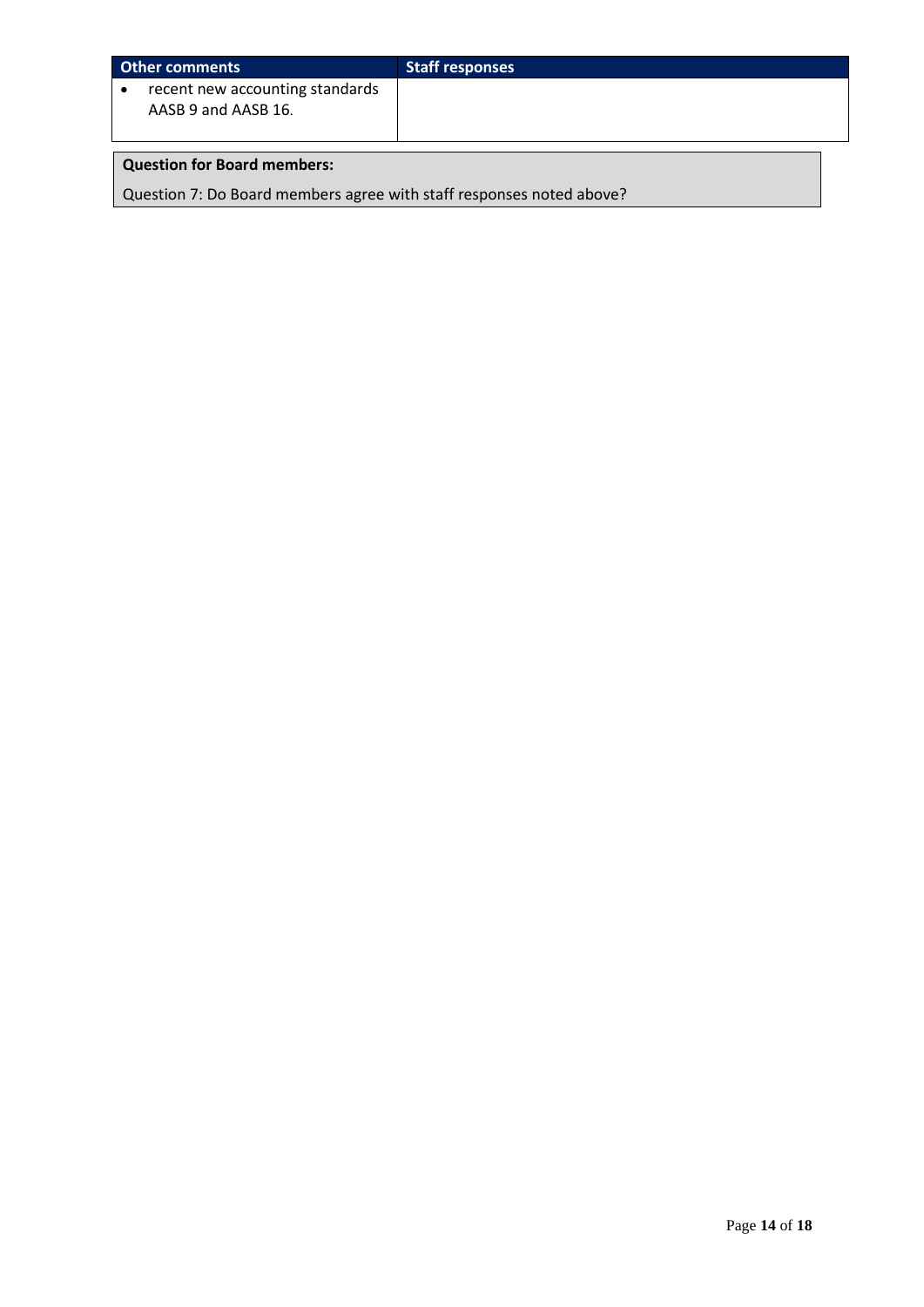| Other comments                                         | <b>Staff responses</b> |
|--------------------------------------------------------|------------------------|
| recent new accounting standards<br>AASB 9 and AASB 16. |                        |

# **Question for Board members:**

Question 7: Do Board members agree with staff responses noted above?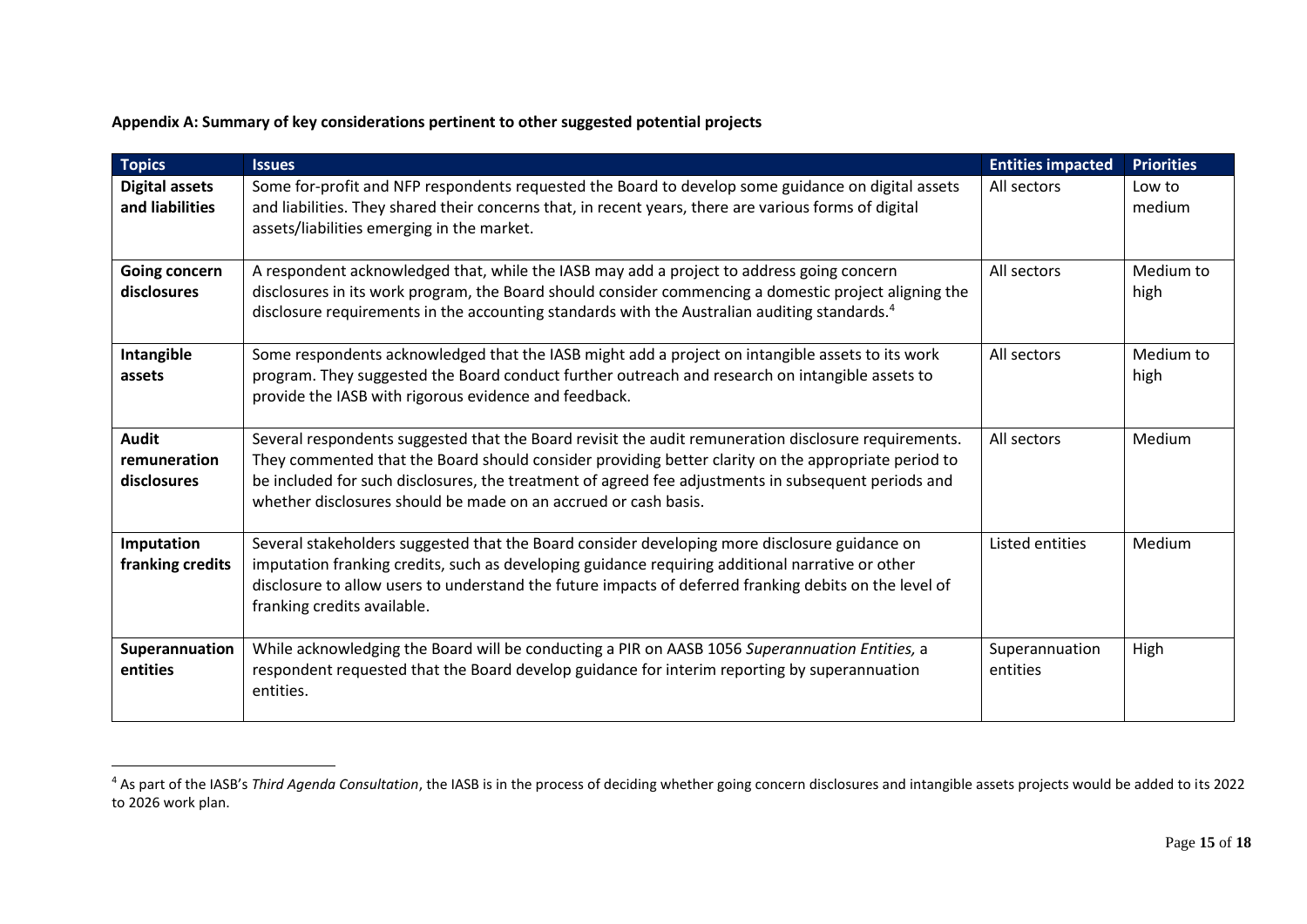## **Appendix A: Summary of key considerations pertinent to other suggested potential projects**

| <b>Topics</b>                               | <b>Issues</b>                                                                                                                                                                                                                                                                                                                                                                         | <b>Entities impacted</b>   | <b>Priorities</b> |
|---------------------------------------------|---------------------------------------------------------------------------------------------------------------------------------------------------------------------------------------------------------------------------------------------------------------------------------------------------------------------------------------------------------------------------------------|----------------------------|-------------------|
| <b>Digital assets</b><br>and liabilities    | Some for-profit and NFP respondents requested the Board to develop some guidance on digital assets<br>and liabilities. They shared their concerns that, in recent years, there are various forms of digital<br>assets/liabilities emerging in the market.                                                                                                                             | All sectors                | Low to<br>medium  |
| Going concern<br>disclosures                | A respondent acknowledged that, while the IASB may add a project to address going concern<br>disclosures in its work program, the Board should consider commencing a domestic project aligning the<br>disclosure requirements in the accounting standards with the Australian auditing standards. <sup>4</sup>                                                                        | All sectors                | Medium to<br>high |
| Intangible<br>assets                        | Some respondents acknowledged that the IASB might add a project on intangible assets to its work<br>program. They suggested the Board conduct further outreach and research on intangible assets to<br>provide the IASB with rigorous evidence and feedback.                                                                                                                          | All sectors                | Medium to<br>high |
| <b>Audit</b><br>remuneration<br>disclosures | Several respondents suggested that the Board revisit the audit remuneration disclosure requirements.<br>They commented that the Board should consider providing better clarity on the appropriate period to<br>be included for such disclosures, the treatment of agreed fee adjustments in subsequent periods and<br>whether disclosures should be made on an accrued or cash basis. | All sectors                | Medium            |
| Imputation<br>franking credits              | Several stakeholders suggested that the Board consider developing more disclosure guidance on<br>imputation franking credits, such as developing guidance requiring additional narrative or other<br>disclosure to allow users to understand the future impacts of deferred franking debits on the level of<br>franking credits available.                                            | Listed entities            | Medium            |
| Superannuation<br>entities                  | While acknowledging the Board will be conducting a PIR on AASB 1056 Superannuation Entities, a<br>respondent requested that the Board develop guidance for interim reporting by superannuation<br>entities.                                                                                                                                                                           | Superannuation<br>entities | High              |

<sup>&</sup>lt;sup>4</sup> As part of the IASB's *Third Agenda Consultation*, the IASB is in the process of deciding whether going concern disclosures and intangible assets projects would be added to its 2022 to 2026 work plan.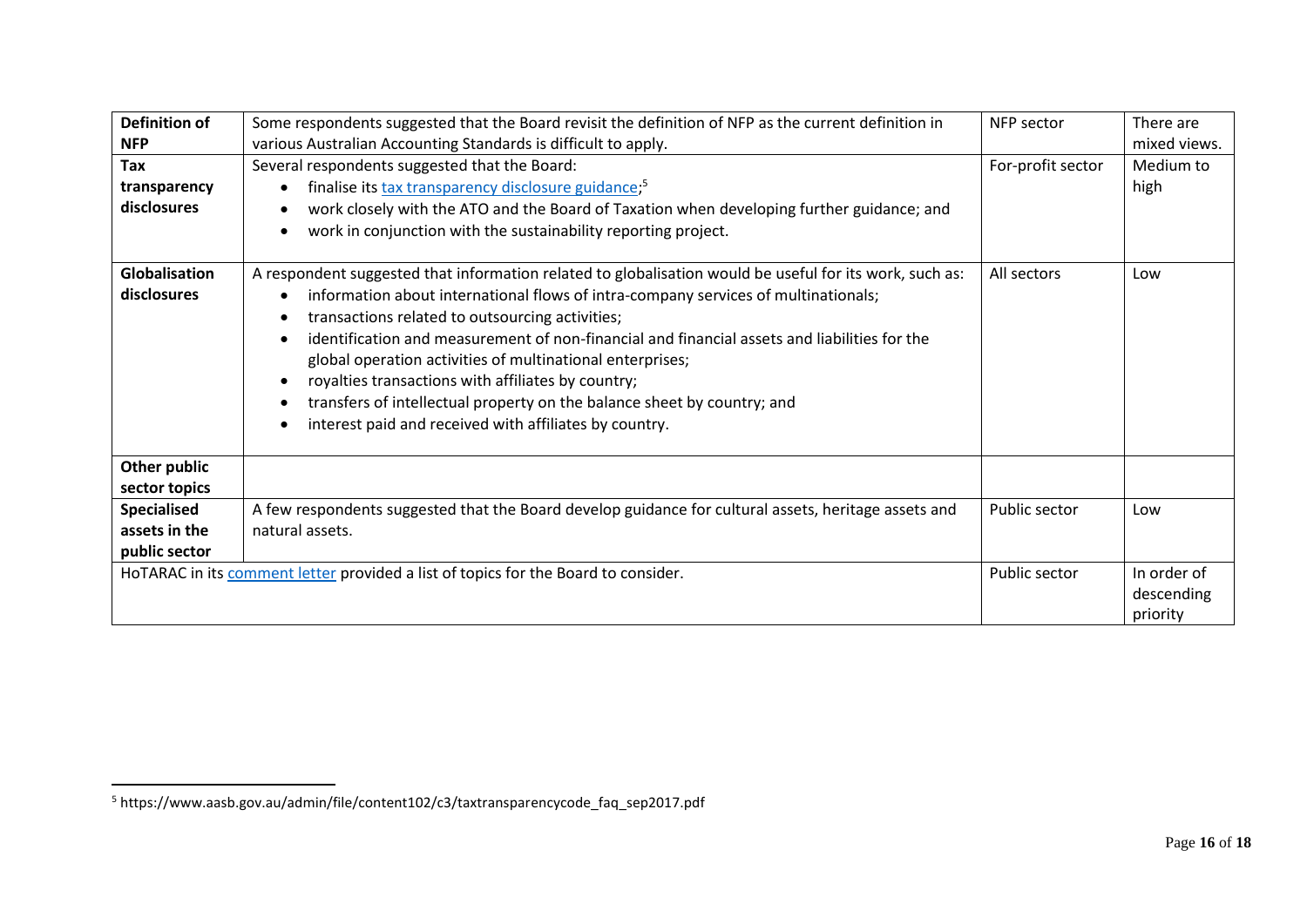| <b>Definition of</b>          | Some respondents suggested that the Board revisit the definition of NFP as the current definition in                                                                                                                                                                                                                                                                                                                                                                                                                                                                                                                                            | NFP sector        | There are                             |
|-------------------------------|-------------------------------------------------------------------------------------------------------------------------------------------------------------------------------------------------------------------------------------------------------------------------------------------------------------------------------------------------------------------------------------------------------------------------------------------------------------------------------------------------------------------------------------------------------------------------------------------------------------------------------------------------|-------------------|---------------------------------------|
|                               |                                                                                                                                                                                                                                                                                                                                                                                                                                                                                                                                                                                                                                                 |                   |                                       |
| <b>NFP</b>                    | various Australian Accounting Standards is difficult to apply.                                                                                                                                                                                                                                                                                                                                                                                                                                                                                                                                                                                  |                   | mixed views.                          |
| Tax                           | Several respondents suggested that the Board:                                                                                                                                                                                                                                                                                                                                                                                                                                                                                                                                                                                                   | For-profit sector | Medium to                             |
| transparency                  | finalise its tax transparency disclosure guidance; <sup>5</sup>                                                                                                                                                                                                                                                                                                                                                                                                                                                                                                                                                                                 |                   | high                                  |
| disclosures                   | work closely with the ATO and the Board of Taxation when developing further guidance; and                                                                                                                                                                                                                                                                                                                                                                                                                                                                                                                                                       |                   |                                       |
|                               | work in conjunction with the sustainability reporting project.                                                                                                                                                                                                                                                                                                                                                                                                                                                                                                                                                                                  |                   |                                       |
| Globalisation<br>disclosures  | A respondent suggested that information related to globalisation would be useful for its work, such as:<br>information about international flows of intra-company services of multinationals;<br>transactions related to outsourcing activities;<br>$\bullet$<br>identification and measurement of non-financial and financial assets and liabilities for the<br>global operation activities of multinational enterprises;<br>royalties transactions with affiliates by country;<br>$\bullet$<br>transfers of intellectual property on the balance sheet by country; and<br>interest paid and received with affiliates by country.<br>$\bullet$ | All sectors       | Low                                   |
| Other public<br>sector topics |                                                                                                                                                                                                                                                                                                                                                                                                                                                                                                                                                                                                                                                 |                   |                                       |
| <b>Specialised</b>            | A few respondents suggested that the Board develop guidance for cultural assets, heritage assets and                                                                                                                                                                                                                                                                                                                                                                                                                                                                                                                                            | Public sector     | Low                                   |
| assets in the                 | natural assets.                                                                                                                                                                                                                                                                                                                                                                                                                                                                                                                                                                                                                                 |                   |                                       |
| public sector                 |                                                                                                                                                                                                                                                                                                                                                                                                                                                                                                                                                                                                                                                 |                   |                                       |
|                               | HoTARAC in its comment letter provided a list of topics for the Board to consider.                                                                                                                                                                                                                                                                                                                                                                                                                                                                                                                                                              | Public sector     | In order of<br>descending<br>priority |

<sup>5</sup> https://www.aasb.gov.au/admin/file/content102/c3/taxtransparencycode\_faq\_sep2017.pdf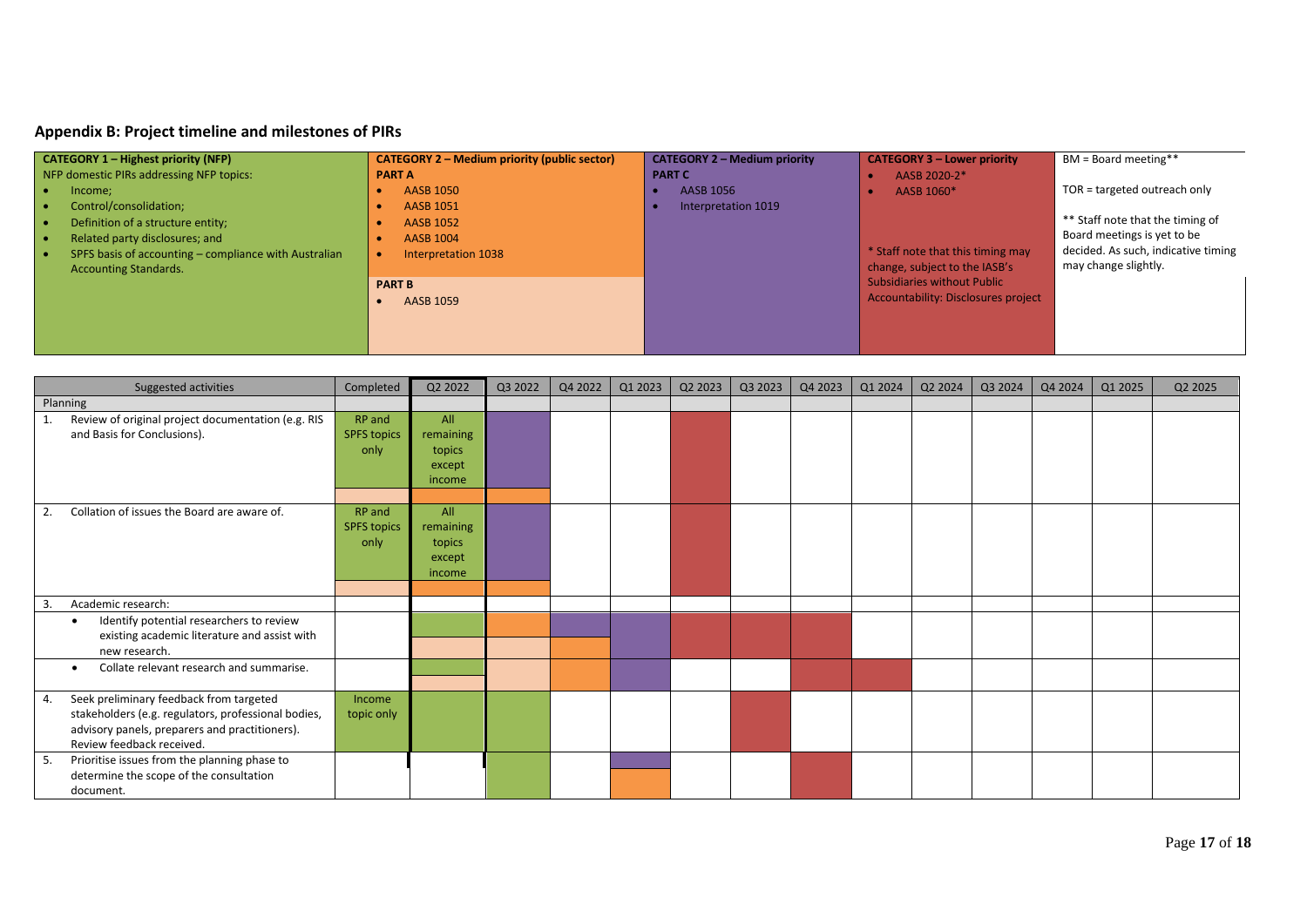## **Appendix B: Project timeline and milestones of PIRs**

| <b>CATEGORY 1 – Highest priority (NFP)</b>            | <b>CATEGORY 2 – Medium priority (public sector)</b> | <b>CATEGORY 2 - Medium priority</b> | <b>CATEGORY 3 - Lower priority</b>  | BM = Board meeting**                |
|-------------------------------------------------------|-----------------------------------------------------|-------------------------------------|-------------------------------------|-------------------------------------|
| NFP domestic PIRs addressing NFP topics:              | <b>PART A</b>                                       | <b>PART C</b>                       | AASB 2020-2*                        |                                     |
| Income;                                               | <b>AASB 1050</b>                                    | AASB 1056                           | AASB 1060*                          | TOR = targeted outreach only        |
| Control/consolidation;                                | <b>AASB 1051</b>                                    | Interpretation 1019                 |                                     |                                     |
| Definition of a structure entity;                     | <b>AASB 1052</b>                                    |                                     |                                     | ** Staff note that the timing of    |
| Related party disclosures; and                        | <b>AASB 1004</b>                                    |                                     |                                     | Board meetings is yet to be         |
| SPFS basis of accounting – compliance with Australian | Interpretation 1038                                 |                                     | * Staff note that this timing may   | decided. As such, indicative timing |
| <b>Accounting Standards.</b>                          |                                                     |                                     | change, subject to the IASB's       | may change slightly.                |
|                                                       | <b>PART B</b>                                       |                                     | <b>Subsidiaries without Public</b>  |                                     |
|                                                       | AASB 1059                                           |                                     | Accountability: Disclosures project |                                     |
|                                                       |                                                     |                                     |                                     |                                     |
|                                                       |                                                     |                                     |                                     |                                     |
|                                                       |                                                     |                                     |                                     |                                     |

<span id="page-16-2"></span><span id="page-16-1"></span><span id="page-16-0"></span>

| Suggested activities                                                                                                                                                                | Completed                            | Q2 2022                                        | Q3 2022 | Q4 2022 | Q1 2023 | Q2 2023 | Q3 2023 | Q4 2023 | Q1 2024 | Q2 2024 | Q3 2024 | Q4 2024 | Q1 2025 | Q2 2025 |
|-------------------------------------------------------------------------------------------------------------------------------------------------------------------------------------|--------------------------------------|------------------------------------------------|---------|---------|---------|---------|---------|---------|---------|---------|---------|---------|---------|---------|
| Planning                                                                                                                                                                            |                                      |                                                |         |         |         |         |         |         |         |         |         |         |         |         |
| Review of original project documentation (e.g. RIS<br>1.<br>and Basis for Conclusions).                                                                                             | RP and<br><b>SPFS topics</b><br>only | All<br>remaining<br>topics<br>except<br>income |         |         |         |         |         |         |         |         |         |         |         |         |
| Collation of issues the Board are aware of.<br>2.                                                                                                                                   | RP and<br><b>SPFS topics</b><br>only | All<br>remaining<br>topics<br>except<br>income |         |         |         |         |         |         |         |         |         |         |         |         |
| Academic research:<br>3.                                                                                                                                                            |                                      |                                                |         |         |         |         |         |         |         |         |         |         |         |         |
| Identify potential researchers to review<br>$\bullet$<br>existing academic literature and assist with<br>new research.                                                              |                                      |                                                |         |         |         |         |         |         |         |         |         |         |         |         |
| Collate relevant research and summarise.<br>$\bullet$                                                                                                                               |                                      |                                                |         |         |         |         |         |         |         |         |         |         |         |         |
| Seek preliminary feedback from targeted<br>4.<br>stakeholders (e.g. regulators, professional bodies,<br>advisory panels, preparers and practitioners).<br>Review feedback received. | Income<br>topic only                 |                                                |         |         |         |         |         |         |         |         |         |         |         |         |
| Prioritise issues from the planning phase to<br>5.<br>determine the scope of the consultation<br>document.                                                                          |                                      |                                                |         |         |         |         |         |         |         |         |         |         |         |         |